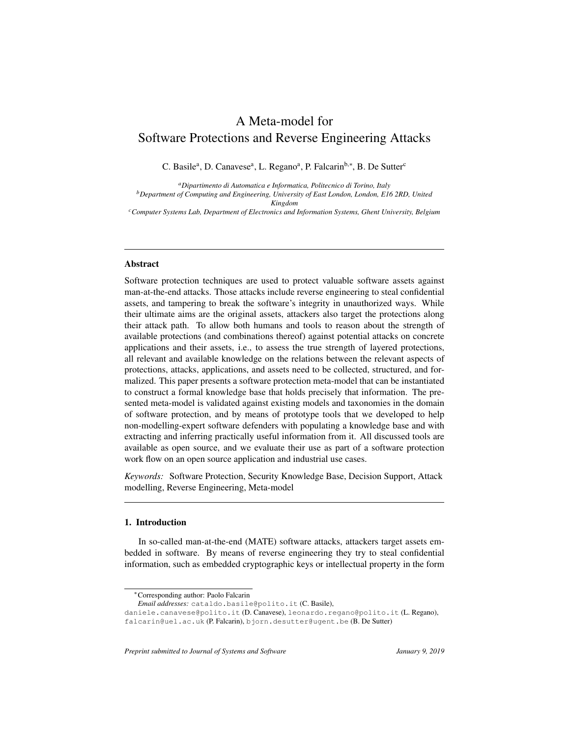# A Meta-model for Software Protections and Reverse Engineering Attacks

C. Basile<sup>a</sup>, D. Canavese<sup>a</sup>, L. Regano<sup>a</sup>, P. Falcarin<sup>b,\*</sup>, B. De Sutter<sup>c</sup>

*<sup>a</sup>Dipartimento di Automatica e Informatica, Politecnico di Torino, Italy <sup>b</sup>Department of Computing and Engineering, University of East London, London, E16 2RD, United Kingdom <sup>c</sup>Computer Systems Lab, Department of Electronics and Information Systems, Ghent University, Belgium*

# Abstract

Software protection techniques are used to protect valuable software assets against man-at-the-end attacks. Those attacks include reverse engineering to steal confidential assets, and tampering to break the software's integrity in unauthorized ways. While their ultimate aims are the original assets, attackers also target the protections along their attack path. To allow both humans and tools to reason about the strength of available protections (and combinations thereof) against potential attacks on concrete applications and their assets, i.e., to assess the true strength of layered protections, all relevant and available knowledge on the relations between the relevant aspects of protections, attacks, applications, and assets need to be collected, structured, and formalized. This paper presents a software protection meta-model that can be instantiated to construct a formal knowledge base that holds precisely that information. The presented meta-model is validated against existing models and taxonomies in the domain of software protection, and by means of prototype tools that we developed to help non-modelling-expert software defenders with populating a knowledge base and with extracting and inferring practically useful information from it. All discussed tools are available as open source, and we evaluate their use as part of a software protection work flow on an open source application and industrial use cases.

*Keywords:* Software Protection, Security Knowledge Base, Decision Support, Attack modelling, Reverse Engineering, Meta-model

# 1. Introduction

In so-called man-at-the-end (MATE) software attacks, attackers target assets embedded in software. By means of reverse engineering they try to steal confidential information, such as embedded cryptographic keys or intellectual property in the form

<sup>∗</sup>Corresponding author: Paolo Falcarin

*Email addresses:* cataldo.basile@polito.it (C. Basile),

daniele.canavese@polito.it (D. Canavese), leonardo.regano@polito.it (L. Regano), falcarin@uel.ac.uk (P. Falcarin), bjorn.desutter@ugent.be (B. De Sutter)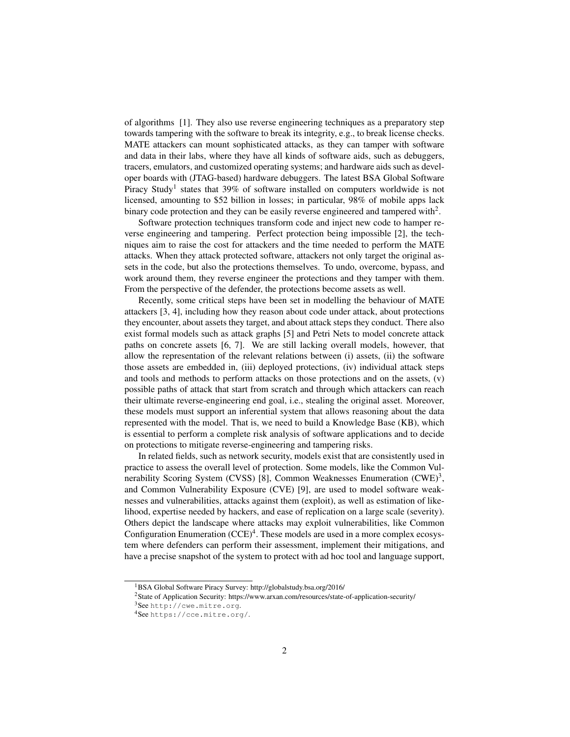of algorithms [1]. They also use reverse engineering techniques as a preparatory step towards tampering with the software to break its integrity, e.g., to break license checks. MATE attackers can mount sophisticated attacks, as they can tamper with software and data in their labs, where they have all kinds of software aids, such as debuggers, tracers, emulators, and customized operating systems; and hardware aids such as developer boards with (JTAG-based) hardware debuggers. The latest BSA Global Software Piracy Study<sup>1</sup> states that 39% of software installed on computers worldwide is not licensed, amounting to \$52 billion in losses; in particular, 98% of mobile apps lack binary code protection and they can be easily reverse engineered and tampered with<sup>2</sup>.

Software protection techniques transform code and inject new code to hamper reverse engineering and tampering. Perfect protection being impossible [2], the techniques aim to raise the cost for attackers and the time needed to perform the MATE attacks. When they attack protected software, attackers not only target the original assets in the code, but also the protections themselves. To undo, overcome, bypass, and work around them, they reverse engineer the protections and they tamper with them. From the perspective of the defender, the protections become assets as well.

Recently, some critical steps have been set in modelling the behaviour of MATE attackers [3, 4], including how they reason about code under attack, about protections they encounter, about assets they target, and about attack steps they conduct. There also exist formal models such as attack graphs [5] and Petri Nets to model concrete attack paths on concrete assets [6, 7]. We are still lacking overall models, however, that allow the representation of the relevant relations between (i) assets, (ii) the software those assets are embedded in, (iii) deployed protections, (iv) individual attack steps and tools and methods to perform attacks on those protections and on the assets, (v) possible paths of attack that start from scratch and through which attackers can reach their ultimate reverse-engineering end goal, i.e., stealing the original asset. Moreover, these models must support an inferential system that allows reasoning about the data represented with the model. That is, we need to build a Knowledge Base (KB), which is essential to perform a complete risk analysis of software applications and to decide on protections to mitigate reverse-engineering and tampering risks.

In related fields, such as network security, models exist that are consistently used in practice to assess the overall level of protection. Some models, like the Common Vulnerability Scoring System (CVSS) [8], Common Weaknesses Enumeration (CWE)<sup>3</sup>, and Common Vulnerability Exposure (CVE) [9], are used to model software weaknesses and vulnerabilities, attacks against them (exploit), as well as estimation of likelihood, expertise needed by hackers, and ease of replication on a large scale (severity). Others depict the landscape where attacks may exploit vulnerabilities, like Common Configuration Enumeration  $(CCE)^4$ . These models are used in a more complex ecosystem where defenders can perform their assessment, implement their mitigations, and have a precise snapshot of the system to protect with ad hoc tool and language support,

<sup>1</sup>BSA Global Software Piracy Survey: http://globalstudy.bsa.org/2016/

<sup>&</sup>lt;sup>2</sup>State of Application Security: https://www.arxan.com/resources/state-of-application-security/

<sup>3</sup>See http://cwe.mitre.org.

<sup>4</sup>See https://cce.mitre.org/.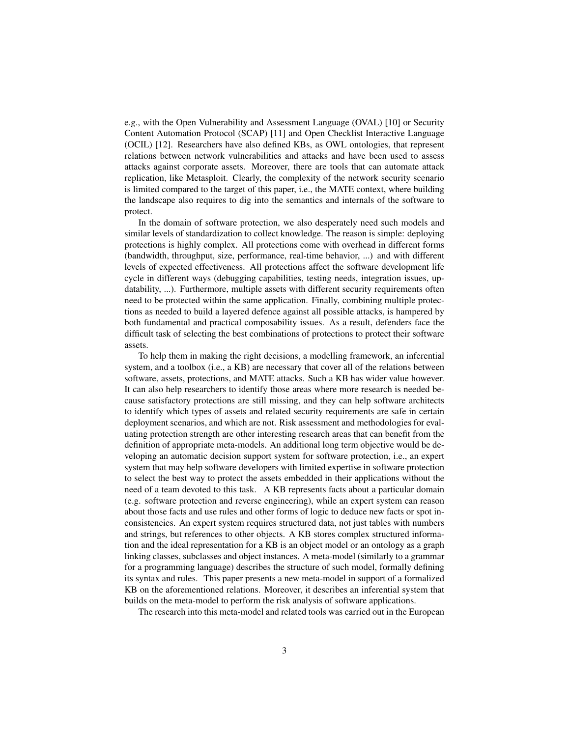e.g., with the Open Vulnerability and Assessment Language (OVAL) [10] or Security Content Automation Protocol (SCAP) [11] and Open Checklist Interactive Language (OCIL) [12]. Researchers have also defined KBs, as OWL ontologies, that represent relations between network vulnerabilities and attacks and have been used to assess attacks against corporate assets. Moreover, there are tools that can automate attack replication, like Metasploit. Clearly, the complexity of the network security scenario is limited compared to the target of this paper, i.e., the MATE context, where building the landscape also requires to dig into the semantics and internals of the software to protect.

In the domain of software protection, we also desperately need such models and similar levels of standardization to collect knowledge. The reason is simple: deploying protections is highly complex. All protections come with overhead in different forms (bandwidth, throughput, size, performance, real-time behavior, ...) and with different levels of expected effectiveness. All protections affect the software development life cycle in different ways (debugging capabilities, testing needs, integration issues, updatability, ...). Furthermore, multiple assets with different security requirements often need to be protected within the same application. Finally, combining multiple protections as needed to build a layered defence against all possible attacks, is hampered by both fundamental and practical composability issues. As a result, defenders face the difficult task of selecting the best combinations of protections to protect their software assets.

To help them in making the right decisions, a modelling framework, an inferential system, and a toolbox (i.e., a KB) are necessary that cover all of the relations between software, assets, protections, and MATE attacks. Such a KB has wider value however. It can also help researchers to identify those areas where more research is needed because satisfactory protections are still missing, and they can help software architects to identify which types of assets and related security requirements are safe in certain deployment scenarios, and which are not. Risk assessment and methodologies for evaluating protection strength are other interesting research areas that can benefit from the definition of appropriate meta-models. An additional long term objective would be developing an automatic decision support system for software protection, i.e., an expert system that may help software developers with limited expertise in software protection to select the best way to protect the assets embedded in their applications without the need of a team devoted to this task. A KB represents facts about a particular domain (e.g. software protection and reverse engineering), while an expert system can reason about those facts and use rules and other forms of logic to deduce new facts or spot inconsistencies. An expert system requires structured data, not just tables with numbers and strings, but references to other objects. A KB stores complex structured information and the ideal representation for a KB is an object model or an ontology as a graph linking classes, subclasses and object instances. A meta-model (similarly to a grammar for a programming language) describes the structure of such model, formally defining its syntax and rules. This paper presents a new meta-model in support of a formalized KB on the aforementioned relations. Moreover, it describes an inferential system that builds on the meta-model to perform the risk analysis of software applications.

The research into this meta-model and related tools was carried out in the European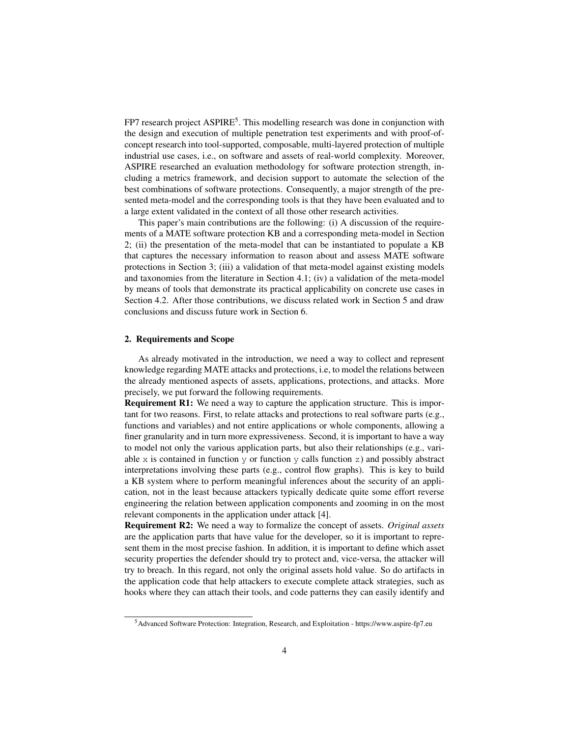FP7 research project ASPIRE<sup>5</sup>. This modelling research was done in conjunction with the design and execution of multiple penetration test experiments and with proof-ofconcept research into tool-supported, composable, multi-layered protection of multiple industrial use cases, i.e., on software and assets of real-world complexity. Moreover, ASPIRE researched an evaluation methodology for software protection strength, including a metrics framework, and decision support to automate the selection of the best combinations of software protections. Consequently, a major strength of the presented meta-model and the corresponding tools is that they have been evaluated and to a large extent validated in the context of all those other research activities.

This paper's main contributions are the following: (i) A discussion of the requirements of a MATE software protection KB and a corresponding meta-model in Section 2; (ii) the presentation of the meta-model that can be instantiated to populate a KB that captures the necessary information to reason about and assess MATE software protections in Section 3; (iii) a validation of that meta-model against existing models and taxonomies from the literature in Section 4.1; (iv) a validation of the meta-model by means of tools that demonstrate its practical applicability on concrete use cases in Section 4.2. After those contributions, we discuss related work in Section 5 and draw conclusions and discuss future work in Section 6.

## 2. Requirements and Scope

As already motivated in the introduction, we need a way to collect and represent knowledge regarding MATE attacks and protections, i.e, to model the relations between the already mentioned aspects of assets, applications, protections, and attacks. More precisely, we put forward the following requirements.

**Requirement R1:** We need a way to capture the application structure. This is important for two reasons. First, to relate attacks and protections to real software parts (e.g., functions and variables) and not entire applications or whole components, allowing a finer granularity and in turn more expressiveness. Second, it is important to have a way to model not only the various application parts, but also their relationships (e.g., variable x is contained in function  $\gamma$  or function  $\gamma$  calls function z) and possibly abstract interpretations involving these parts (e.g., control flow graphs). This is key to build a KB system where to perform meaningful inferences about the security of an application, not in the least because attackers typically dedicate quite some effort reverse engineering the relation between application components and zooming in on the most relevant components in the application under attack [4].

Requirement R2: We need a way to formalize the concept of assets. *Original assets* are the application parts that have value for the developer, so it is important to represent them in the most precise fashion. In addition, it is important to define which asset security properties the defender should try to protect and, vice-versa, the attacker will try to breach. In this regard, not only the original assets hold value. So do artifacts in the application code that help attackers to execute complete attack strategies, such as hooks where they can attach their tools, and code patterns they can easily identify and

<sup>5</sup>Advanced Software Protection: Integration, Research, and Exploitation - https://www.aspire-fp7.eu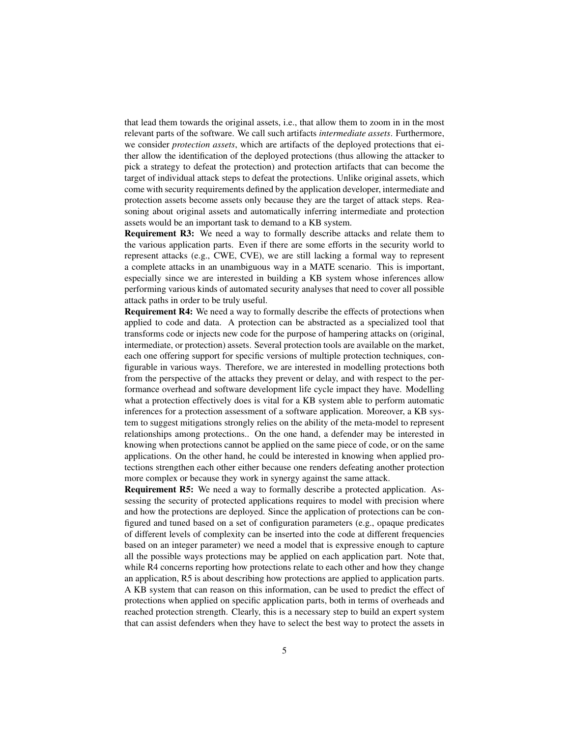that lead them towards the original assets, i.e., that allow them to zoom in in the most relevant parts of the software. We call such artifacts *intermediate assets*. Furthermore, we consider *protection assets*, which are artifacts of the deployed protections that either allow the identification of the deployed protections (thus allowing the attacker to pick a strategy to defeat the protection) and protection artifacts that can become the target of individual attack steps to defeat the protections. Unlike original assets, which come with security requirements defined by the application developer, intermediate and protection assets become assets only because they are the target of attack steps. Reasoning about original assets and automatically inferring intermediate and protection assets would be an important task to demand to a KB system.

Requirement R3: We need a way to formally describe attacks and relate them to the various application parts. Even if there are some efforts in the security world to represent attacks (e.g., CWE, CVE), we are still lacking a formal way to represent a complete attacks in an unambiguous way in a MATE scenario. This is important, especially since we are interested in building a KB system whose inferences allow performing various kinds of automated security analyses that need to cover all possible attack paths in order to be truly useful.

Requirement R4: We need a way to formally describe the effects of protections when applied to code and data. A protection can be abstracted as a specialized tool that transforms code or injects new code for the purpose of hampering attacks on (original, intermediate, or protection) assets. Several protection tools are available on the market, each one offering support for specific versions of multiple protection techniques, configurable in various ways. Therefore, we are interested in modelling protections both from the perspective of the attacks they prevent or delay, and with respect to the performance overhead and software development life cycle impact they have. Modelling what a protection effectively does is vital for a KB system able to perform automatic inferences for a protection assessment of a software application. Moreover, a KB system to suggest mitigations strongly relies on the ability of the meta-model to represent relationships among protections.. On the one hand, a defender may be interested in knowing when protections cannot be applied on the same piece of code, or on the same applications. On the other hand, he could be interested in knowing when applied protections strengthen each other either because one renders defeating another protection more complex or because they work in synergy against the same attack.

Requirement R5: We need a way to formally describe a protected application. Assessing the security of protected applications requires to model with precision where and how the protections are deployed. Since the application of protections can be configured and tuned based on a set of configuration parameters (e.g., opaque predicates of different levels of complexity can be inserted into the code at different frequencies based on an integer parameter) we need a model that is expressive enough to capture all the possible ways protections may be applied on each application part. Note that, while R4 concerns reporting how protections relate to each other and how they change an application, R5 is about describing how protections are applied to application parts. A KB system that can reason on this information, can be used to predict the effect of protections when applied on specific application parts, both in terms of overheads and reached protection strength. Clearly, this is a necessary step to build an expert system that can assist defenders when they have to select the best way to protect the assets in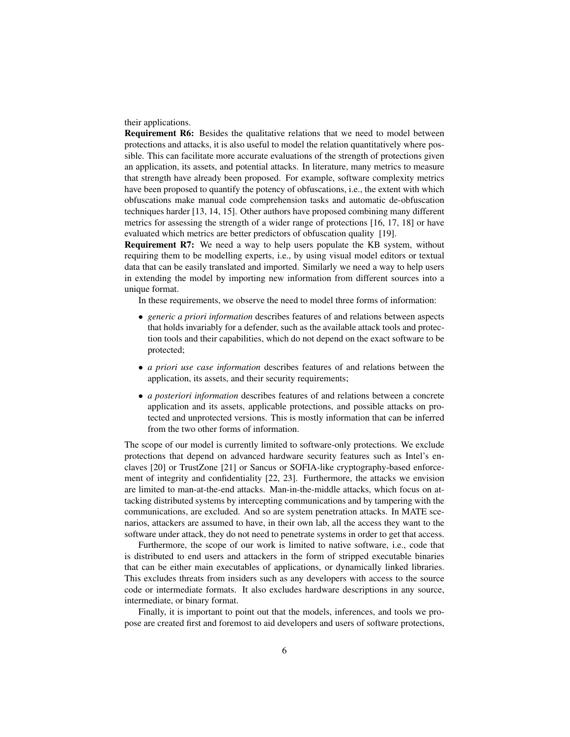# their applications.

Requirement R6: Besides the qualitative relations that we need to model between protections and attacks, it is also useful to model the relation quantitatively where possible. This can facilitate more accurate evaluations of the strength of protections given an application, its assets, and potential attacks. In literature, many metrics to measure that strength have already been proposed. For example, software complexity metrics have been proposed to quantify the potency of obfuscations, i.e., the extent with which obfuscations make manual code comprehension tasks and automatic de-obfuscation techniques harder [13, 14, 15]. Other authors have proposed combining many different metrics for assessing the strength of a wider range of protections [16, 17, 18] or have evaluated which metrics are better predictors of obfuscation quality [19].

Requirement R7: We need a way to help users populate the KB system, without requiring them to be modelling experts, i.e., by using visual model editors or textual data that can be easily translated and imported. Similarly we need a way to help users in extending the model by importing new information from different sources into a unique format.

In these requirements, we observe the need to model three forms of information:

- *generic a priori information* describes features of and relations between aspects that holds invariably for a defender, such as the available attack tools and protection tools and their capabilities, which do not depend on the exact software to be protected;
- *a priori use case information* describes features of and relations between the application, its assets, and their security requirements;
- *a posteriori information* describes features of and relations between a concrete application and its assets, applicable protections, and possible attacks on protected and unprotected versions. This is mostly information that can be inferred from the two other forms of information.

The scope of our model is currently limited to software-only protections. We exclude protections that depend on advanced hardware security features such as Intel's enclaves [20] or TrustZone [21] or Sancus or SOFIA-like cryptography-based enforcement of integrity and confidentiality [22, 23]. Furthermore, the attacks we envision are limited to man-at-the-end attacks. Man-in-the-middle attacks, which focus on attacking distributed systems by intercepting communications and by tampering with the communications, are excluded. And so are system penetration attacks. In MATE scenarios, attackers are assumed to have, in their own lab, all the access they want to the software under attack, they do not need to penetrate systems in order to get that access.

Furthermore, the scope of our work is limited to native software, i.e., code that is distributed to end users and attackers in the form of stripped executable binaries that can be either main executables of applications, or dynamically linked libraries. This excludes threats from insiders such as any developers with access to the source code or intermediate formats. It also excludes hardware descriptions in any source, intermediate, or binary format.

Finally, it is important to point out that the models, inferences, and tools we propose are created first and foremost to aid developers and users of software protections,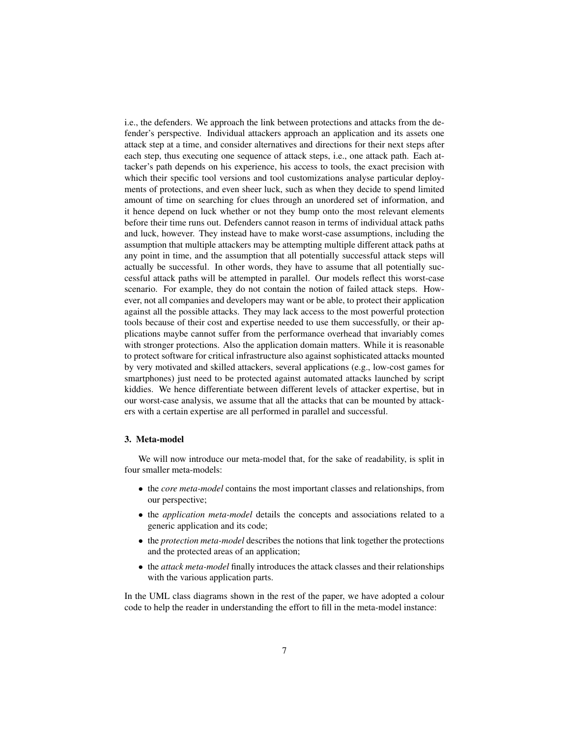i.e., the defenders. We approach the link between protections and attacks from the defender's perspective. Individual attackers approach an application and its assets one attack step at a time, and consider alternatives and directions for their next steps after each step, thus executing one sequence of attack steps, i.e., one attack path. Each attacker's path depends on his experience, his access to tools, the exact precision with which their specific tool versions and tool customizations analyse particular deployments of protections, and even sheer luck, such as when they decide to spend limited amount of time on searching for clues through an unordered set of information, and it hence depend on luck whether or not they bump onto the most relevant elements before their time runs out. Defenders cannot reason in terms of individual attack paths and luck, however. They instead have to make worst-case assumptions, including the assumption that multiple attackers may be attempting multiple different attack paths at any point in time, and the assumption that all potentially successful attack steps will actually be successful. In other words, they have to assume that all potentially successful attack paths will be attempted in parallel. Our models reflect this worst-case scenario. For example, they do not contain the notion of failed attack steps. However, not all companies and developers may want or be able, to protect their application against all the possible attacks. They may lack access to the most powerful protection tools because of their cost and expertise needed to use them successfully, or their applications maybe cannot suffer from the performance overhead that invariably comes with stronger protections. Also the application domain matters. While it is reasonable to protect software for critical infrastructure also against sophisticated attacks mounted by very motivated and skilled attackers, several applications (e.g., low-cost games for smartphones) just need to be protected against automated attacks launched by script kiddies. We hence differentiate between different levels of attacker expertise, but in our worst-case analysis, we assume that all the attacks that can be mounted by attackers with a certain expertise are all performed in parallel and successful.

## 3. Meta-model

We will now introduce our meta-model that, for the sake of readability, is split in four smaller meta-models:

- the *core meta-model* contains the most important classes and relationships, from our perspective;
- the *application meta-model* details the concepts and associations related to a generic application and its code;
- the *protection meta-model* describes the notions that link together the protections and the protected areas of an application;
- the *attack meta-model* finally introduces the attack classes and their relationships with the various application parts.

In the UML class diagrams shown in the rest of the paper, we have adopted a colour code to help the reader in understanding the effort to fill in the meta-model instance: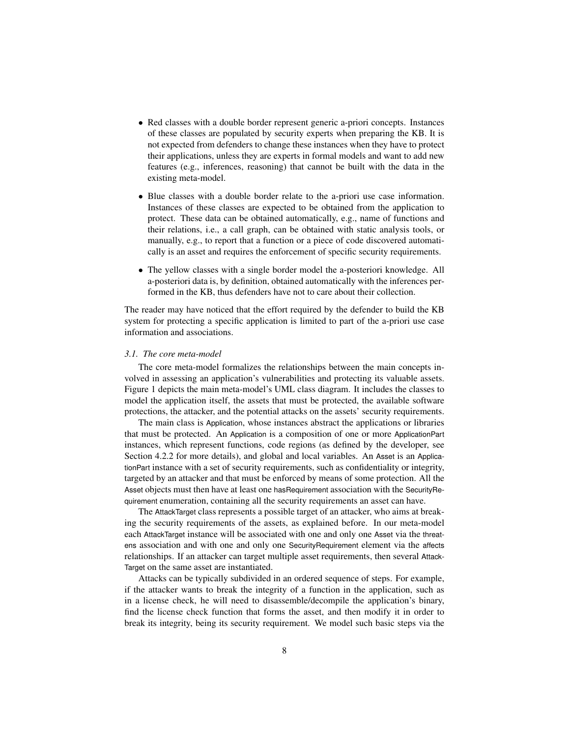- Red classes with a double border represent generic a-priori concepts. Instances of these classes are populated by security experts when preparing the KB. It is not expected from defenders to change these instances when they have to protect their applications, unless they are experts in formal models and want to add new features (e.g., inferences, reasoning) that cannot be built with the data in the existing meta-model.
- Blue classes with a double border relate to the a-priori use case information. Instances of these classes are expected to be obtained from the application to protect. These data can be obtained automatically, e.g., name of functions and their relations, i.e., a call graph, can be obtained with static analysis tools, or manually, e.g., to report that a function or a piece of code discovered automatically is an asset and requires the enforcement of specific security requirements.
- The yellow classes with a single border model the a-posteriori knowledge. All a-posteriori data is, by definition, obtained automatically with the inferences performed in the KB, thus defenders have not to care about their collection.

The reader may have noticed that the effort required by the defender to build the KB system for protecting a specific application is limited to part of the a-priori use case information and associations.

## *3.1. The core meta-model*

The core meta-model formalizes the relationships between the main concepts involved in assessing an application's vulnerabilities and protecting its valuable assets. Figure 1 depicts the main meta-model's UML class diagram. It includes the classes to model the application itself, the assets that must be protected, the available software protections, the attacker, and the potential attacks on the assets' security requirements.

The main class is Application, whose instances abstract the applications or libraries that must be protected. An Application is a composition of one or more ApplicationPart instances, which represent functions, code regions (as defined by the developer, see Section 4.2.2 for more details), and global and local variables. An Asset is an ApplicationPart instance with a set of security requirements, such as confidentiality or integrity, targeted by an attacker and that must be enforced by means of some protection. All the Asset objects must then have at least one has Requirement association with the Security Requirement enumeration, containing all the security requirements an asset can have.

The AttackTarget class represents a possible target of an attacker, who aims at breaking the security requirements of the assets, as explained before. In our meta-model each AttackTarget instance will be associated with one and only one Asset via the threatens association and with one and only one SecurityRequirement element via the affects relationships. If an attacker can target multiple asset requirements, then several Attack-Target on the same asset are instantiated.

Attacks can be typically subdivided in an ordered sequence of steps. For example, if the attacker wants to break the integrity of a function in the application, such as in a license check, he will need to disassemble/decompile the application's binary, find the license check function that forms the asset, and then modify it in order to break its integrity, being its security requirement. We model such basic steps via the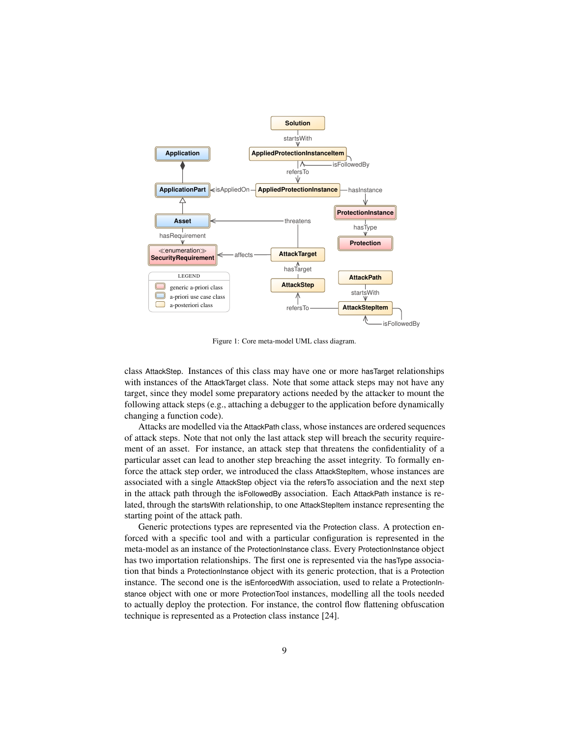

Figure 1: Core meta-model UML class diagram.

class AttackStep. Instances of this class may have one or more hasTarget relationships with instances of the AttackTarget class. Note that some attack steps may not have any target, since they model some preparatory actions needed by the attacker to mount the following attack steps (e.g., attaching a debugger to the application before dynamically changing a function code).

Attacks are modelled via the AttackPath class, whose instances are ordered sequences of attack steps. Note that not only the last attack step will breach the security requirement of an asset. For instance, an attack step that threatens the confidentiality of a particular asset can lead to another step breaching the asset integrity. To formally enforce the attack step order, we introduced the class AttackStepItem, whose instances are associated with a single AttackStep object via the refersTo association and the next step in the attack path through the isFollowedBy association. Each AttackPath instance is related, through the startsWith relationship, to one AttackStepItem instance representing the starting point of the attack path.

Generic protections types are represented via the Protection class. A protection enforced with a specific tool and with a particular configuration is represented in the meta-model as an instance of the ProtectionInstance class. Every ProtectionInstance object has two importation relationships. The first one is represented via the hasType association that binds a ProtectionInstance object with its generic protection, that is a Protection instance. The second one is the isEnforcedWith association, used to relate a ProtectionInstance object with one or more ProtectionTool instances, modelling all the tools needed to actually deploy the protection. For instance, the control flow flattening obfuscation technique is represented as a Protection class instance [24].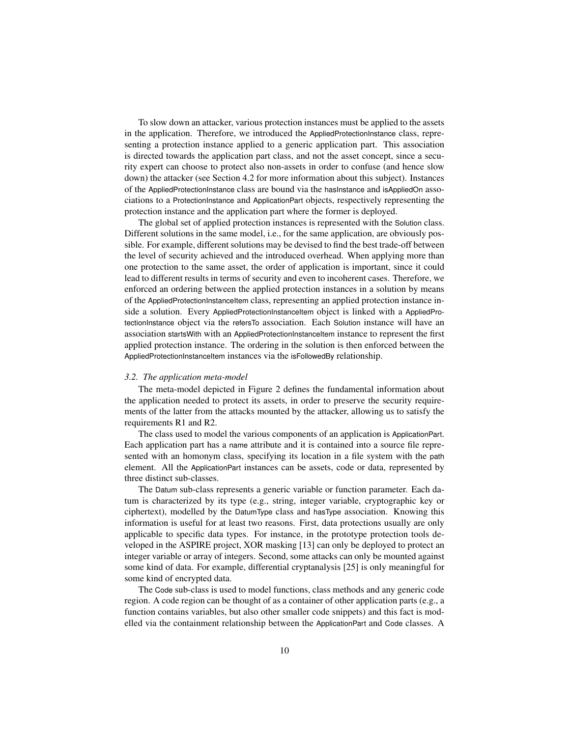To slow down an attacker, various protection instances must be applied to the assets in the application. Therefore, we introduced the AppliedProtectionInstance class, representing a protection instance applied to a generic application part. This association is directed towards the application part class, and not the asset concept, since a security expert can choose to protect also non-assets in order to confuse (and hence slow down) the attacker (see Section 4.2 for more information about this subject). Instances of the AppliedProtectionInstance class are bound via the hasInstance and isAppliedOn associations to a ProtectionInstance and ApplicationPart objects, respectively representing the protection instance and the application part where the former is deployed.

The global set of applied protection instances is represented with the Solution class. Different solutions in the same model, i.e., for the same application, are obviously possible. For example, different solutions may be devised to find the best trade-off between the level of security achieved and the introduced overhead. When applying more than one protection to the same asset, the order of application is important, since it could lead to different results in terms of security and even to incoherent cases. Therefore, we enforced an ordering between the applied protection instances in a solution by means of the AppliedProtectionInstanceItem class, representing an applied protection instance inside a solution. Every AppliedProtectionInstanceItem object is linked with a AppliedProtectionInstance object via the refersTo association. Each Solution instance will have an association startsWith with an AppliedProtectionInstanceItem instance to represent the first applied protection instance. The ordering in the solution is then enforced between the AppliedProtectionInstanceItem instances via the isFollowedBy relationship.

#### *3.2. The application meta-model*

The meta-model depicted in Figure 2 defines the fundamental information about the application needed to protect its assets, in order to preserve the security requirements of the latter from the attacks mounted by the attacker, allowing us to satisfy the requirements R1 and R2.

The class used to model the various components of an application is ApplicationPart. Each application part has a name attribute and it is contained into a source file represented with an homonym class, specifying its location in a file system with the path element. All the ApplicationPart instances can be assets, code or data, represented by three distinct sub-classes.

The Datum sub-class represents a generic variable or function parameter. Each datum is characterized by its type (e.g., string, integer variable, cryptographic key or ciphertext), modelled by the DatumType class and hasType association. Knowing this information is useful for at least two reasons. First, data protections usually are only applicable to specific data types. For instance, in the prototype protection tools developed in the ASPIRE project, XOR masking [13] can only be deployed to protect an integer variable or array of integers. Second, some attacks can only be mounted against some kind of data. For example, differential cryptanalysis [25] is only meaningful for some kind of encrypted data.

The Code sub-class is used to model functions, class methods and any generic code region. A code region can be thought of as a container of other application parts (e.g., a function contains variables, but also other smaller code snippets) and this fact is modelled via the containment relationship between the ApplicationPart and Code classes. A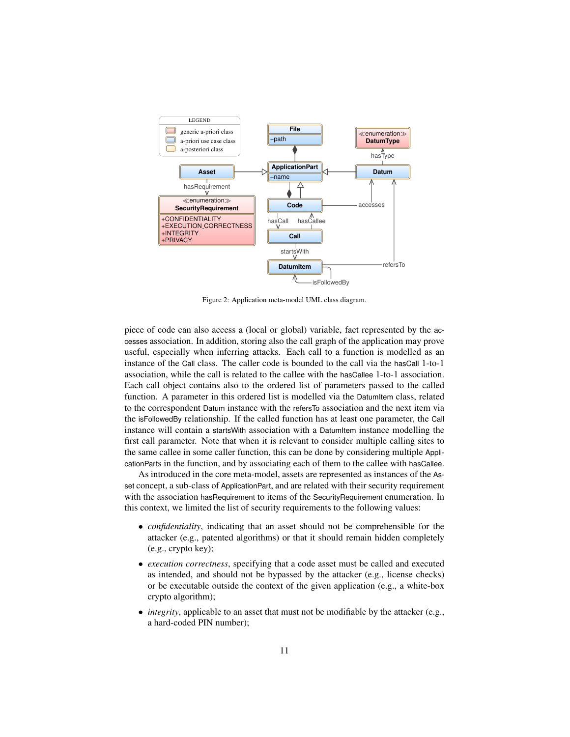

Figure 2: Application meta-model UML class diagram.

piece of code can also access a (local or global) variable, fact represented by the accesses association. In addition, storing also the call graph of the application may prove useful, especially when inferring attacks. Each call to a function is modelled as an instance of the Call class. The caller code is bounded to the call via the hasCall 1-to-1 association, while the call is related to the callee with the hasCallee 1-to-1 association. Each call object contains also to the ordered list of parameters passed to the called function. A parameter in this ordered list is modelled via the DatumItem class, related to the correspondent Datum instance with the refersTo association and the next item via the isFollowedBy relationship. If the called function has at least one parameter, the Call instance will contain a startsWith association with a DatumItem instance modelling the first call parameter. Note that when it is relevant to consider multiple calling sites to the same callee in some caller function, this can be done by considering multiple ApplicationParts in the function, and by associating each of them to the callee with hasCallee.

As introduced in the core meta-model, assets are represented as instances of the Asset concept, a sub-class of ApplicationPart, and are related with their security requirement with the association hasRequirement to items of the SecurityRequirement enumeration. In this context, we limited the list of security requirements to the following values:

- *confidentiality*, indicating that an asset should not be comprehensible for the attacker (e.g., patented algorithms) or that it should remain hidden completely (e.g., crypto key);
- *execution correctness*, specifying that a code asset must be called and executed as intended, and should not be bypassed by the attacker (e.g., license checks) or be executable outside the context of the given application (e.g., a white-box crypto algorithm);
- *integrity*, applicable to an asset that must not be modifiable by the attacker (e.g., a hard-coded PIN number);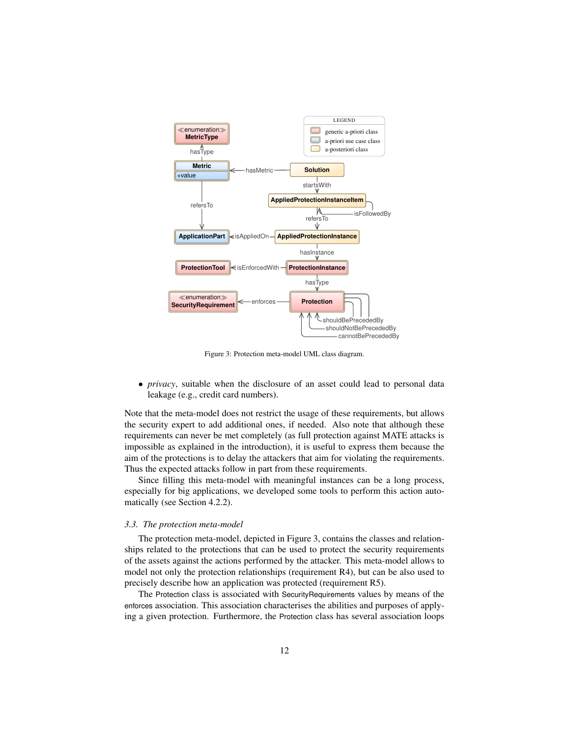

Figure 3: Protection meta-model UML class diagram.

• *privacy*, suitable when the disclosure of an asset could lead to personal data leakage (e.g., credit card numbers).

Note that the meta-model does not restrict the usage of these requirements, but allows the security expert to add additional ones, if needed. Also note that although these requirements can never be met completely (as full protection against MATE attacks is impossible as explained in the introduction), it is useful to express them because the aim of the protections is to delay the attackers that aim for violating the requirements. Thus the expected attacks follow in part from these requirements.

Since filling this meta-model with meaningful instances can be a long process, especially for big applications, we developed some tools to perform this action automatically (see Section 4.2.2).

#### *3.3. The protection meta-model*

The protection meta-model, depicted in Figure 3, contains the classes and relationships related to the protections that can be used to protect the security requirements of the assets against the actions performed by the attacker. This meta-model allows to model not only the protection relationships (requirement R4), but can be also used to precisely describe how an application was protected (requirement R5).

The Protection class is associated with SecurityRequirements values by means of the enforces association. This association characterises the abilities and purposes of applying a given protection. Furthermore, the Protection class has several association loops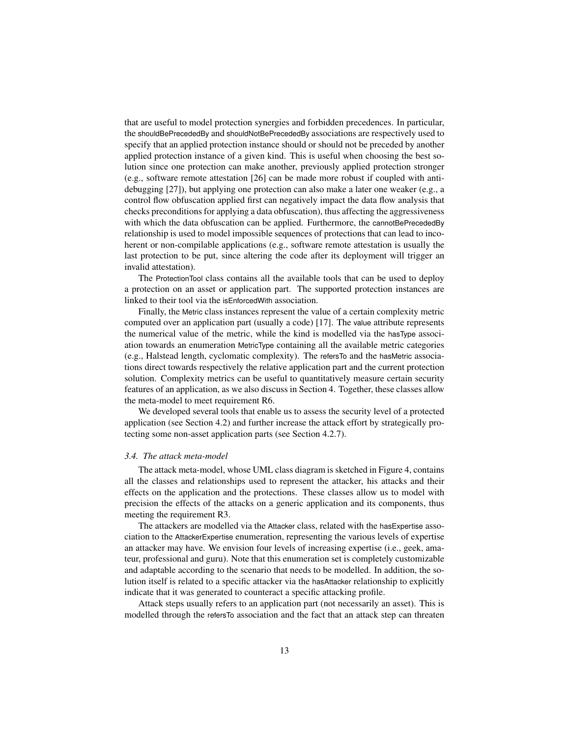that are useful to model protection synergies and forbidden precedences. In particular, the shouldBePrecededBy and shouldNotBePrecededBy associations are respectively used to specify that an applied protection instance should or should not be preceded by another applied protection instance of a given kind. This is useful when choosing the best solution since one protection can make another, previously applied protection stronger (e.g., software remote attestation [26] can be made more robust if coupled with antidebugging [27]), but applying one protection can also make a later one weaker (e.g., a control flow obfuscation applied first can negatively impact the data flow analysis that checks preconditions for applying a data obfuscation), thus affecting the aggressiveness with which the data obfuscation can be applied. Furthermore, the cannotBePrecededBy relationship is used to model impossible sequences of protections that can lead to incoherent or non-compilable applications (e.g., software remote attestation is usually the last protection to be put, since altering the code after its deployment will trigger an invalid attestation).

The ProtectionTool class contains all the available tools that can be used to deploy a protection on an asset or application part. The supported protection instances are linked to their tool via the isEnforcedWith association.

Finally, the Metric class instances represent the value of a certain complexity metric computed over an application part (usually a code) [17]. The value attribute represents the numerical value of the metric, while the kind is modelled via the hasType association towards an enumeration MetricType containing all the available metric categories (e.g., Halstead length, cyclomatic complexity). The refersTo and the hasMetric associations direct towards respectively the relative application part and the current protection solution. Complexity metrics can be useful to quantitatively measure certain security features of an application, as we also discuss in Section 4. Together, these classes allow the meta-model to meet requirement R6.

We developed several tools that enable us to assess the security level of a protected application (see Section 4.2) and further increase the attack effort by strategically protecting some non-asset application parts (see Section 4.2.7).

#### *3.4. The attack meta-model*

The attack meta-model, whose UML class diagram is sketched in Figure 4, contains all the classes and relationships used to represent the attacker, his attacks and their effects on the application and the protections. These classes allow us to model with precision the effects of the attacks on a generic application and its components, thus meeting the requirement R3.

The attackers are modelled via the Attacker class, related with the hasExpertise association to the AttackerExpertise enumeration, representing the various levels of expertise an attacker may have. We envision four levels of increasing expertise (i.e., geek, amateur, professional and guru). Note that this enumeration set is completely customizable and adaptable according to the scenario that needs to be modelled. In addition, the solution itself is related to a specific attacker via the hasAttacker relationship to explicitly indicate that it was generated to counteract a specific attacking profile.

Attack steps usually refers to an application part (not necessarily an asset). This is modelled through the refersTo association and the fact that an attack step can threaten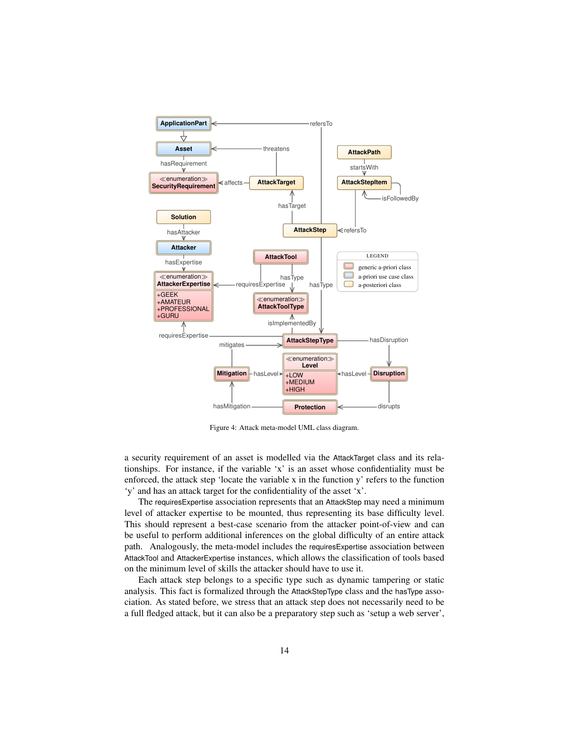

Figure 4: Attack meta-model UML class diagram.

a security requirement of an asset is modelled via the AttackTarget class and its relationships. For instance, if the variable 'x' is an asset whose confidentiality must be enforced, the attack step 'locate the variable x in the function y' refers to the function 'y' and has an attack target for the confidentiality of the asset 'x'.

The requiresExpertise association represents that an AttackStep may need a minimum level of attacker expertise to be mounted, thus representing its base difficulty level. This should represent a best-case scenario from the attacker point-of-view and can be useful to perform additional inferences on the global difficulty of an entire attack path. Analogously, the meta-model includes the requiresExpertise association between AttackTool and AttackerExpertise instances, which allows the classification of tools based on the minimum level of skills the attacker should have to use it.

Each attack step belongs to a specific type such as dynamic tampering or static analysis. This fact is formalized through the AttackStepType class and the hasType association. As stated before, we stress that an attack step does not necessarily need to be a full fledged attack, but it can also be a preparatory step such as 'setup a web server',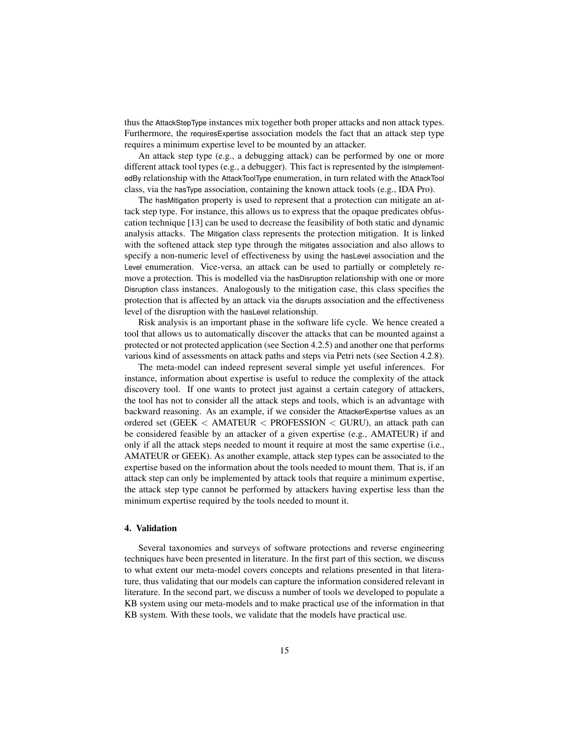thus the AttackStepType instances mix together both proper attacks and non attack types. Furthermore, the requiresExpertise association models the fact that an attack step type requires a minimum expertise level to be mounted by an attacker.

An attack step type (e.g., a debugging attack) can be performed by one or more different attack tool types (e.g., a debugger). This fact is represented by the isImplementedBy relationship with the AttackToolType enumeration, in turn related with the AttackTool class, via the hasType association, containing the known attack tools (e.g., IDA Pro).

The hasMitigation property is used to represent that a protection can mitigate an attack step type. For instance, this allows us to express that the opaque predicates obfuscation technique [13] can be used to decrease the feasibility of both static and dynamic analysis attacks. The Mitigation class represents the protection mitigation. It is linked with the softened attack step type through the mitigates association and also allows to specify a non-numeric level of effectiveness by using the hasLevel association and the Level enumeration. Vice-versa, an attack can be used to partially or completely remove a protection. This is modelled via the hasDisruption relationship with one or more Disruption class instances. Analogously to the mitigation case, this class specifies the protection that is affected by an attack via the disrupts association and the effectiveness level of the disruption with the hasLevel relationship.

Risk analysis is an important phase in the software life cycle. We hence created a tool that allows us to automatically discover the attacks that can be mounted against a protected or not protected application (see Section 4.2.5) and another one that performs various kind of assessments on attack paths and steps via Petri nets (see Section 4.2.8).

The meta-model can indeed represent several simple yet useful inferences. For instance, information about expertise is useful to reduce the complexity of the attack discovery tool. If one wants to protect just against a certain category of attackers, the tool has not to consider all the attack steps and tools, which is an advantage with backward reasoning. As an example, if we consider the AttackerExpertise values as an ordered set (GEEK < AMATEUR < PROFESSION < GURU), an attack path can be considered feasible by an attacker of a given expertise (e.g., AMATEUR) if and only if all the attack steps needed to mount it require at most the same expertise (i.e., AMATEUR or GEEK). As another example, attack step types can be associated to the expertise based on the information about the tools needed to mount them. That is, if an attack step can only be implemented by attack tools that require a minimum expertise, the attack step type cannot be performed by attackers having expertise less than the minimum expertise required by the tools needed to mount it.

## 4. Validation

Several taxonomies and surveys of software protections and reverse engineering techniques have been presented in literature. In the first part of this section, we discuss to what extent our meta-model covers concepts and relations presented in that literature, thus validating that our models can capture the information considered relevant in literature. In the second part, we discuss a number of tools we developed to populate a KB system using our meta-models and to make practical use of the information in that KB system. With these tools, we validate that the models have practical use.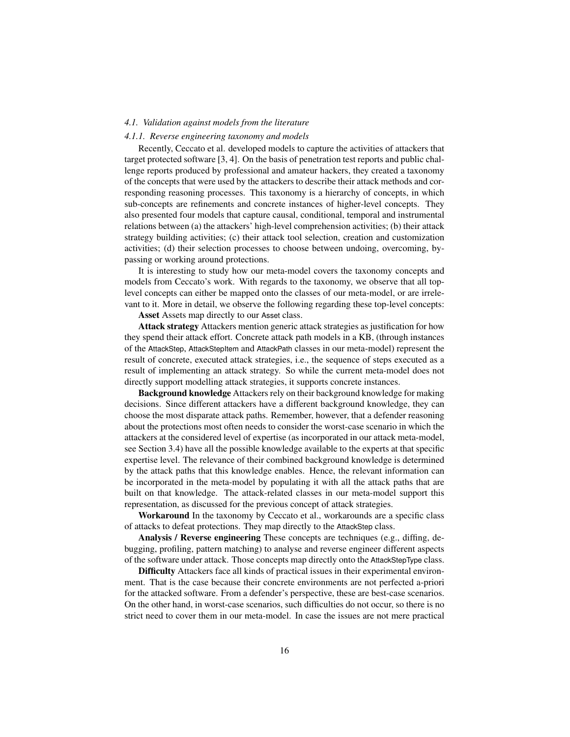## *4.1. Validation against models from the literature*

# *4.1.1. Reverse engineering taxonomy and models*

Recently, Ceccato et al. developed models to capture the activities of attackers that target protected software [3, 4]. On the basis of penetration test reports and public challenge reports produced by professional and amateur hackers, they created a taxonomy of the concepts that were used by the attackers to describe their attack methods and corresponding reasoning processes. This taxonomy is a hierarchy of concepts, in which sub-concepts are refinements and concrete instances of higher-level concepts. They also presented four models that capture causal, conditional, temporal and instrumental relations between (a) the attackers' high-level comprehension activities; (b) their attack strategy building activities; (c) their attack tool selection, creation and customization activities; (d) their selection processes to choose between undoing, overcoming, bypassing or working around protections.

It is interesting to study how our meta-model covers the taxonomy concepts and models from Ceccato's work. With regards to the taxonomy, we observe that all toplevel concepts can either be mapped onto the classes of our meta-model, or are irrelevant to it. More in detail, we observe the following regarding these top-level concepts:

Asset Assets map directly to our Asset class.

Attack strategy Attackers mention generic attack strategies as justification for how they spend their attack effort. Concrete attack path models in a KB, (through instances of the AttackStep, AttackStepItem and AttackPath classes in our meta-model) represent the result of concrete, executed attack strategies, i.e., the sequence of steps executed as a result of implementing an attack strategy. So while the current meta-model does not directly support modelling attack strategies, it supports concrete instances.

Background knowledge Attackers rely on their background knowledge for making decisions. Since different attackers have a different background knowledge, they can choose the most disparate attack paths. Remember, however, that a defender reasoning about the protections most often needs to consider the worst-case scenario in which the attackers at the considered level of expertise (as incorporated in our attack meta-model, see Section 3.4) have all the possible knowledge available to the experts at that specific expertise level. The relevance of their combined background knowledge is determined by the attack paths that this knowledge enables. Hence, the relevant information can be incorporated in the meta-model by populating it with all the attack paths that are built on that knowledge. The attack-related classes in our meta-model support this representation, as discussed for the previous concept of attack strategies.

Workaround In the taxonomy by Ceccato et al., workarounds are a specific class of attacks to defeat protections. They map directly to the AttackStep class.

Analysis / Reverse engineering These concepts are techniques (e.g., diffing, debugging, profiling, pattern matching) to analyse and reverse engineer different aspects of the software under attack. Those concepts map directly onto the AttackStepType class.

Difficulty Attackers face all kinds of practical issues in their experimental environment. That is the case because their concrete environments are not perfected a-priori for the attacked software. From a defender's perspective, these are best-case scenarios. On the other hand, in worst-case scenarios, such difficulties do not occur, so there is no strict need to cover them in our meta-model. In case the issues are not mere practical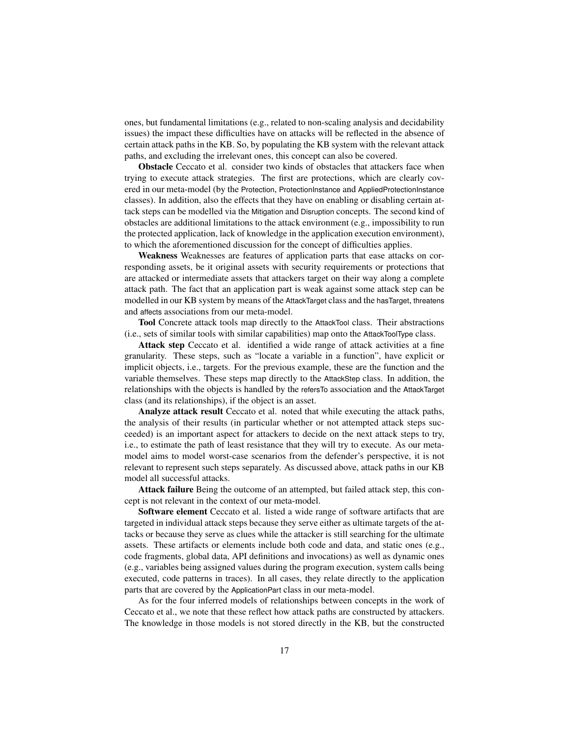ones, but fundamental limitations (e.g., related to non-scaling analysis and decidability issues) the impact these difficulties have on attacks will be reflected in the absence of certain attack paths in the KB. So, by populating the KB system with the relevant attack paths, and excluding the irrelevant ones, this concept can also be covered.

Obstacle Ceccato et al. consider two kinds of obstacles that attackers face when trying to execute attack strategies. The first are protections, which are clearly covered in our meta-model (by the Protection, ProtectionInstance and AppliedProtectionInstance classes). In addition, also the effects that they have on enabling or disabling certain attack steps can be modelled via the Mitigation and Disruption concepts. The second kind of obstacles are additional limitations to the attack environment (e.g., impossibility to run the protected application, lack of knowledge in the application execution environment), to which the aforementioned discussion for the concept of difficulties applies.

Weakness Weaknesses are features of application parts that ease attacks on corresponding assets, be it original assets with security requirements or protections that are attacked or intermediate assets that attackers target on their way along a complete attack path. The fact that an application part is weak against some attack step can be modelled in our KB system by means of the AttackTarget class and the hasTarget, threatens and affects associations from our meta-model.

Tool Concrete attack tools map directly to the AttackTool class. Their abstractions (i.e., sets of similar tools with similar capabilities) map onto the AttackToolType class.

Attack step Ceccato et al. identified a wide range of attack activities at a fine granularity. These steps, such as "locate a variable in a function", have explicit or implicit objects, i.e., targets. For the previous example, these are the function and the variable themselves. These steps map directly to the AttackStep class. In addition, the relationships with the objects is handled by the refersTo association and the AttackTarget class (and its relationships), if the object is an asset.

Analyze attack result Ceccato et al. noted that while executing the attack paths, the analysis of their results (in particular whether or not attempted attack steps succeeded) is an important aspect for attackers to decide on the next attack steps to try, i.e., to estimate the path of least resistance that they will try to execute. As our metamodel aims to model worst-case scenarios from the defender's perspective, it is not relevant to represent such steps separately. As discussed above, attack paths in our KB model all successful attacks.

Attack failure Being the outcome of an attempted, but failed attack step, this concept is not relevant in the context of our meta-model.

Software element Ceccato et al. listed a wide range of software artifacts that are targeted in individual attack steps because they serve either as ultimate targets of the attacks or because they serve as clues while the attacker is still searching for the ultimate assets. These artifacts or elements include both code and data, and static ones (e.g., code fragments, global data, API definitions and invocations) as well as dynamic ones (e.g., variables being assigned values during the program execution, system calls being executed, code patterns in traces). In all cases, they relate directly to the application parts that are covered by the ApplicationPart class in our meta-model.

As for the four inferred models of relationships between concepts in the work of Ceccato et al., we note that these reflect how attack paths are constructed by attackers. The knowledge in those models is not stored directly in the KB, but the constructed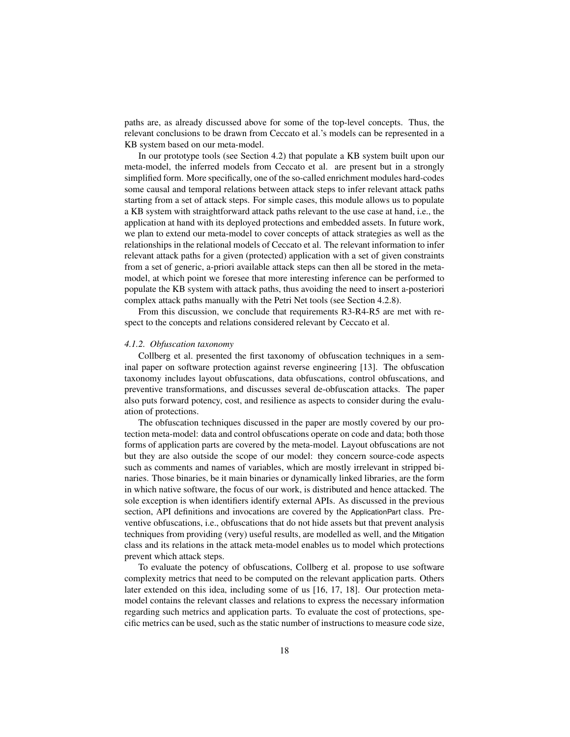paths are, as already discussed above for some of the top-level concepts. Thus, the relevant conclusions to be drawn from Ceccato et al.'s models can be represented in a KB system based on our meta-model.

In our prototype tools (see Section 4.2) that populate a KB system built upon our meta-model, the inferred models from Ceccato et al. are present but in a strongly simplified form. More specifically, one of the so-called enrichment modules hard-codes some causal and temporal relations between attack steps to infer relevant attack paths starting from a set of attack steps. For simple cases, this module allows us to populate a KB system with straightforward attack paths relevant to the use case at hand, i.e., the application at hand with its deployed protections and embedded assets. In future work, we plan to extend our meta-model to cover concepts of attack strategies as well as the relationships in the relational models of Ceccato et al. The relevant information to infer relevant attack paths for a given (protected) application with a set of given constraints from a set of generic, a-priori available attack steps can then all be stored in the metamodel, at which point we foresee that more interesting inference can be performed to populate the KB system with attack paths, thus avoiding the need to insert a-posteriori complex attack paths manually with the Petri Net tools (see Section 4.2.8).

From this discussion, we conclude that requirements R3-R4-R5 are met with respect to the concepts and relations considered relevant by Ceccato et al.

## *4.1.2. Obfuscation taxonomy*

Collberg et al. presented the first taxonomy of obfuscation techniques in a seminal paper on software protection against reverse engineering [13]. The obfuscation taxonomy includes layout obfuscations, data obfuscations, control obfuscations, and preventive transformations, and discusses several de-obfuscation attacks. The paper also puts forward potency, cost, and resilience as aspects to consider during the evaluation of protections.

The obfuscation techniques discussed in the paper are mostly covered by our protection meta-model: data and control obfuscations operate on code and data; both those forms of application parts are covered by the meta-model. Layout obfuscations are not but they are also outside the scope of our model: they concern source-code aspects such as comments and names of variables, which are mostly irrelevant in stripped binaries. Those binaries, be it main binaries or dynamically linked libraries, are the form in which native software, the focus of our work, is distributed and hence attacked. The sole exception is when identifiers identify external APIs. As discussed in the previous section, API definitions and invocations are covered by the ApplicationPart class. Preventive obfuscations, i.e., obfuscations that do not hide assets but that prevent analysis techniques from providing (very) useful results, are modelled as well, and the Mitigation class and its relations in the attack meta-model enables us to model which protections prevent which attack steps.

To evaluate the potency of obfuscations, Collberg et al. propose to use software complexity metrics that need to be computed on the relevant application parts. Others later extended on this idea, including some of us [16, 17, 18]. Our protection metamodel contains the relevant classes and relations to express the necessary information regarding such metrics and application parts. To evaluate the cost of protections, specific metrics can be used, such as the static number of instructions to measure code size,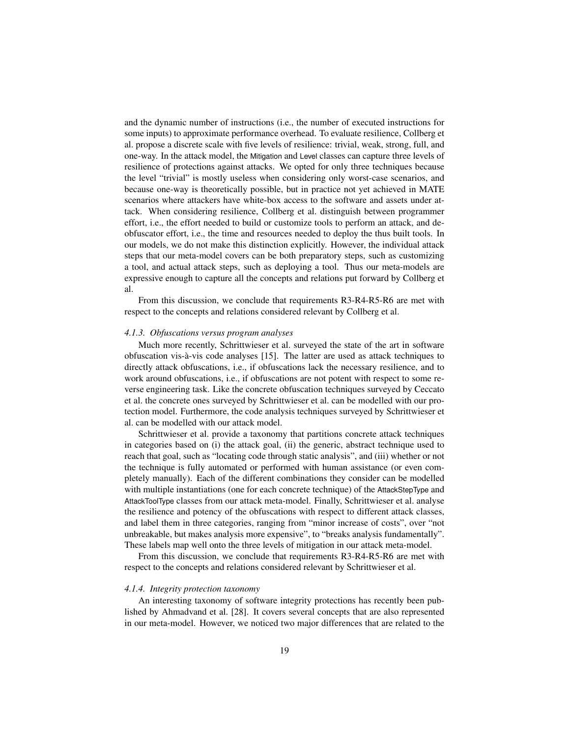and the dynamic number of instructions (i.e., the number of executed instructions for some inputs) to approximate performance overhead. To evaluate resilience, Collberg et al. propose a discrete scale with five levels of resilience: trivial, weak, strong, full, and one-way. In the attack model, the Mitigation and Level classes can capture three levels of resilience of protections against attacks. We opted for only three techniques because the level "trivial" is mostly useless when considering only worst-case scenarios, and because one-way is theoretically possible, but in practice not yet achieved in MATE scenarios where attackers have white-box access to the software and assets under attack. When considering resilience, Collberg et al. distinguish between programmer effort, i.e., the effort needed to build or customize tools to perform an attack, and deobfuscator effort, i.e., the time and resources needed to deploy the thus built tools. In our models, we do not make this distinction explicitly. However, the individual attack steps that our meta-model covers can be both preparatory steps, such as customizing a tool, and actual attack steps, such as deploying a tool. Thus our meta-models are expressive enough to capture all the concepts and relations put forward by Collberg et al.

From this discussion, we conclude that requirements R3-R4-R5-R6 are met with respect to the concepts and relations considered relevant by Collberg et al.

#### *4.1.3. Obfuscations versus program analyses*

Much more recently, Schrittwieser et al. surveyed the state of the art in software obfuscation vis-a-vis code analyses [15]. The latter are used as attack techniques to ` directly attack obfuscations, i.e., if obfuscations lack the necessary resilience, and to work around obfuscations, i.e., if obfuscations are not potent with respect to some reverse engineering task. Like the concrete obfuscation techniques surveyed by Ceccato et al. the concrete ones surveyed by Schrittwieser et al. can be modelled with our protection model. Furthermore, the code analysis techniques surveyed by Schrittwieser et al. can be modelled with our attack model.

Schrittwieser et al. provide a taxonomy that partitions concrete attack techniques in categories based on (i) the attack goal, (ii) the generic, abstract technique used to reach that goal, such as "locating code through static analysis", and (iii) whether or not the technique is fully automated or performed with human assistance (or even completely manually). Each of the different combinations they consider can be modelled with multiple instantiations (one for each concrete technique) of the AttackStepType and AttackToolType classes from our attack meta-model. Finally, Schrittwieser et al. analyse the resilience and potency of the obfuscations with respect to different attack classes, and label them in three categories, ranging from "minor increase of costs", over "not unbreakable, but makes analysis more expensive", to "breaks analysis fundamentally". These labels map well onto the three levels of mitigation in our attack meta-model.

From this discussion, we conclude that requirements R3-R4-R5-R6 are met with respect to the concepts and relations considered relevant by Schrittwieser et al.

## *4.1.4. Integrity protection taxonomy*

An interesting taxonomy of software integrity protections has recently been published by Ahmadvand et al. [28]. It covers several concepts that are also represented in our meta-model. However, we noticed two major differences that are related to the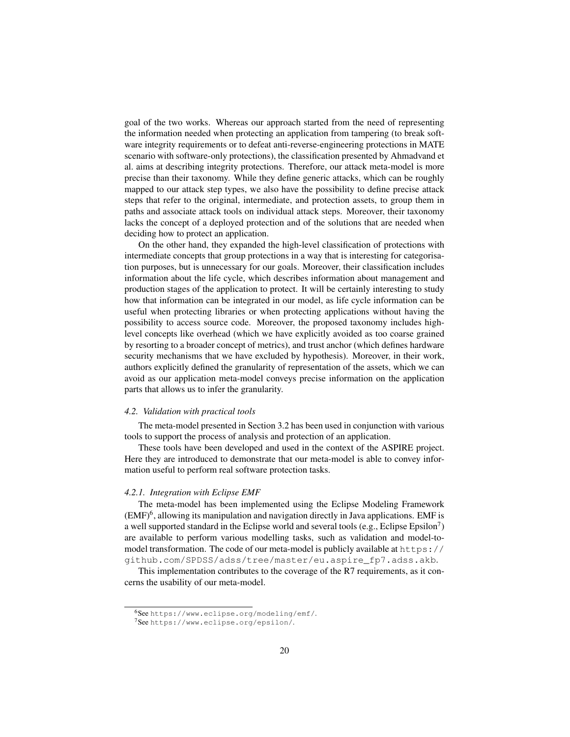goal of the two works. Whereas our approach started from the need of representing the information needed when protecting an application from tampering (to break software integrity requirements or to defeat anti-reverse-engineering protections in MATE scenario with software-only protections), the classification presented by Ahmadvand et al. aims at describing integrity protections. Therefore, our attack meta-model is more precise than their taxonomy. While they define generic attacks, which can be roughly mapped to our attack step types, we also have the possibility to define precise attack steps that refer to the original, intermediate, and protection assets, to group them in paths and associate attack tools on individual attack steps. Moreover, their taxonomy lacks the concept of a deployed protection and of the solutions that are needed when deciding how to protect an application.

On the other hand, they expanded the high-level classification of protections with intermediate concepts that group protections in a way that is interesting for categorisation purposes, but is unnecessary for our goals. Moreover, their classification includes information about the life cycle, which describes information about management and production stages of the application to protect. It will be certainly interesting to study how that information can be integrated in our model, as life cycle information can be useful when protecting libraries or when protecting applications without having the possibility to access source code. Moreover, the proposed taxonomy includes highlevel concepts like overhead (which we have explicitly avoided as too coarse grained by resorting to a broader concept of metrics), and trust anchor (which defines hardware security mechanisms that we have excluded by hypothesis). Moreover, in their work, authors explicitly defined the granularity of representation of the assets, which we can avoid as our application meta-model conveys precise information on the application parts that allows us to infer the granularity.

#### *4.2. Validation with practical tools*

The meta-model presented in Section 3.2 has been used in conjunction with various tools to support the process of analysis and protection of an application.

These tools have been developed and used in the context of the ASPIRE project. Here they are introduced to demonstrate that our meta-model is able to convey information useful to perform real software protection tasks.

#### *4.2.1. Integration with Eclipse EMF*

The meta-model has been implemented using the Eclipse Modeling Framework (EMF)<sup>6</sup> , allowing its manipulation and navigation directly in Java applications. EMF is a well supported standard in the Eclipse world and several tools (e.g., Eclipse Epsilon<sup>7</sup>) are available to perform various modelling tasks, such as validation and model-tomodel transformation. The code of our meta-model is publicly available at https:// github.com/SPDSS/adss/tree/master/eu.aspire\_fp7.adss.akb.

This implementation contributes to the coverage of the R7 requirements, as it concerns the usability of our meta-model.

<sup>6</sup>See https://www.eclipse.org/modeling/emf/.

<sup>7</sup>See https://www.eclipse.org/epsilon/.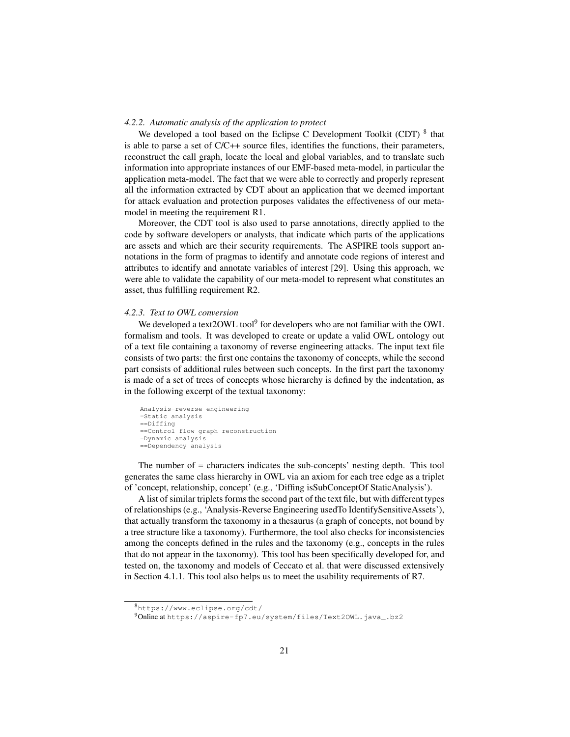## *4.2.2. Automatic analysis of the application to protect*

We developed a tool based on the Eclipse C Development Toolkit (CDT)  $8$  that is able to parse a set of C/C++ source files, identifies the functions, their parameters, reconstruct the call graph, locate the local and global variables, and to translate such information into appropriate instances of our EMF-based meta-model, in particular the application meta-model. The fact that we were able to correctly and properly represent all the information extracted by CDT about an application that we deemed important for attack evaluation and protection purposes validates the effectiveness of our metamodel in meeting the requirement R1.

Moreover, the CDT tool is also used to parse annotations, directly applied to the code by software developers or analysts, that indicate which parts of the applications are assets and which are their security requirements. The ASPIRE tools support annotations in the form of pragmas to identify and annotate code regions of interest and attributes to identify and annotate variables of interest [29]. Using this approach, we were able to validate the capability of our meta-model to represent what constitutes an asset, thus fulfilling requirement R2.

## *4.2.3. Text to OWL conversion*

We developed a text2OWL tool<sup>9</sup> for developers who are not familiar with the OWL formalism and tools. It was developed to create or update a valid OWL ontology out of a text file containing a taxonomy of reverse engineering attacks. The input text file consists of two parts: the first one contains the taxonomy of concepts, while the second part consists of additional rules between such concepts. In the first part the taxonomy is made of a set of trees of concepts whose hierarchy is defined by the indentation, as in the following excerpt of the textual taxonomy:

```
Analysis-reverse engineering
=Static analysis
==Diffing
==Control flow graph reconstruction
=Dynamic analysis
==Dependency analysis
```
The number of = characters indicates the sub-concepts' nesting depth. This tool generates the same class hierarchy in OWL via an axiom for each tree edge as a triplet of 'concept, relationship, concept' (e.g., 'Diffing isSubConceptOf StaticAnalysis').

A list of similar triplets forms the second part of the text file, but with different types of relationships (e.g., 'Analysis-Reverse Engineering usedTo IdentifySensitiveAssets'), that actually transform the taxonomy in a thesaurus (a graph of concepts, not bound by a tree structure like a taxonomy). Furthermore, the tool also checks for inconsistencies among the concepts defined in the rules and the taxonomy (e.g., concepts in the rules that do not appear in the taxonomy). This tool has been specifically developed for, and tested on, the taxonomy and models of Ceccato et al. that were discussed extensively in Section 4.1.1. This tool also helps us to meet the usability requirements of R7.

<sup>8</sup>https://www.eclipse.org/cdt/

<sup>9</sup>Online at https://aspire-fp7.eu/system/files/Text2OWL.java\_.bz2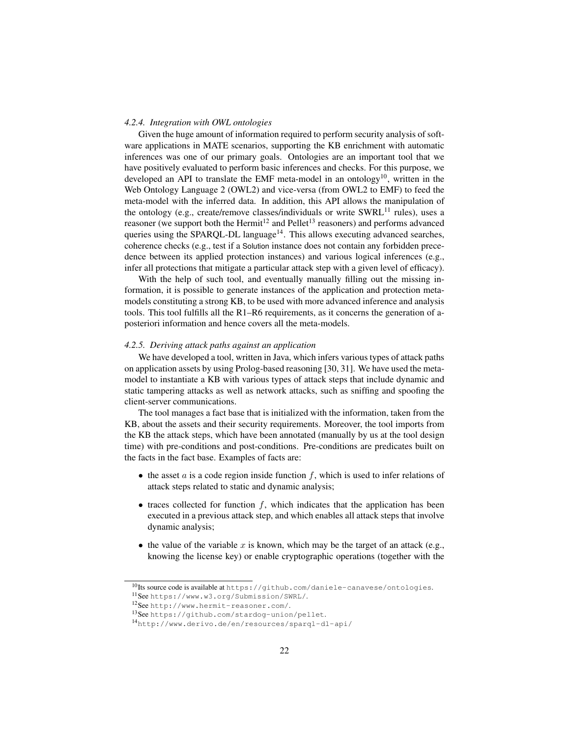## *4.2.4. Integration with OWL ontologies*

Given the huge amount of information required to perform security analysis of software applications in MATE scenarios, supporting the KB enrichment with automatic inferences was one of our primary goals. Ontologies are an important tool that we have positively evaluated to perform basic inferences and checks. For this purpose, we developed an API to translate the EMF meta-model in an ontology<sup>10</sup>, written in the Web Ontology Language 2 (OWL2) and vice-versa (from OWL2 to EMF) to feed the meta-model with the inferred data. In addition, this API allows the manipulation of the ontology (e.g., create/remove classes/individuals or write  $SWRL<sup>11</sup>$  rules), uses a reasoner (we support both the Hermit<sup>12</sup> and Pellet<sup>13</sup> reasoners) and performs advanced queries using the SPARQL-DL language<sup>14</sup>. This allows executing advanced searches, coherence checks (e.g., test if a Solution instance does not contain any forbidden precedence between its applied protection instances) and various logical inferences (e.g., infer all protections that mitigate a particular attack step with a given level of efficacy).

With the help of such tool, and eventually manually filling out the missing information, it is possible to generate instances of the application and protection metamodels constituting a strong KB, to be used with more advanced inference and analysis tools. This tool fulfills all the R1–R6 requirements, as it concerns the generation of aposteriori information and hence covers all the meta-models.

#### *4.2.5. Deriving attack paths against an application*

We have developed a tool, written in Java, which infers various types of attack paths on application assets by using Prolog-based reasoning [30, 31]. We have used the metamodel to instantiate a KB with various types of attack steps that include dynamic and static tampering attacks as well as network attacks, such as sniffing and spoofing the client-server communications.

The tool manages a fact base that is initialized with the information, taken from the KB, about the assets and their security requirements. Moreover, the tool imports from the KB the attack steps, which have been annotated (manually by us at the tool design time) with pre-conditions and post-conditions. Pre-conditions are predicates built on the facts in the fact base. Examples of facts are:

- the asset  $a$  is a code region inside function  $f$ , which is used to infer relations of attack steps related to static and dynamic analysis;
- traces collected for function  $f$ , which indicates that the application has been executed in a previous attack step, and which enables all attack steps that involve dynamic analysis;
- the value of the variable x is known, which may be the target of an attack (e.g., knowing the license key) or enable cryptographic operations (together with the

<sup>10</sup>Its source code is available at https://github.com/daniele-canavese/ontologies.

<sup>11</sup>See https://www.w3.org/Submission/SWRL/.

<sup>12</sup>See http://www.hermit-reasoner.com/.

<sup>13</sup>See https://github.com/stardog-union/pellet.

<sup>14</sup>http://www.derivo.de/en/resources/sparql-dl-api/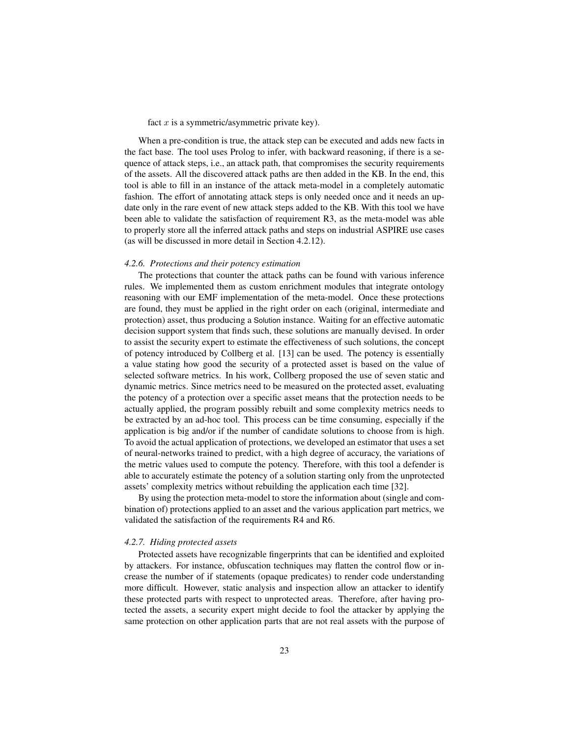fact  $x$  is a symmetric/asymmetric private key).

When a pre-condition is true, the attack step can be executed and adds new facts in the fact base. The tool uses Prolog to infer, with backward reasoning, if there is a sequence of attack steps, i.e., an attack path, that compromises the security requirements of the assets. All the discovered attack paths are then added in the KB. In the end, this tool is able to fill in an instance of the attack meta-model in a completely automatic fashion. The effort of annotating attack steps is only needed once and it needs an update only in the rare event of new attack steps added to the KB. With this tool we have been able to validate the satisfaction of requirement R3, as the meta-model was able to properly store all the inferred attack paths and steps on industrial ASPIRE use cases (as will be discussed in more detail in Section 4.2.12).

#### *4.2.6. Protections and their potency estimation*

The protections that counter the attack paths can be found with various inference rules. We implemented them as custom enrichment modules that integrate ontology reasoning with our EMF implementation of the meta-model. Once these protections are found, they must be applied in the right order on each (original, intermediate and protection) asset, thus producing a Solution instance. Waiting for an effective automatic decision support system that finds such, these solutions are manually devised. In order to assist the security expert to estimate the effectiveness of such solutions, the concept of potency introduced by Collberg et al. [13] can be used. The potency is essentially a value stating how good the security of a protected asset is based on the value of selected software metrics. In his work, Collberg proposed the use of seven static and dynamic metrics. Since metrics need to be measured on the protected asset, evaluating the potency of a protection over a specific asset means that the protection needs to be actually applied, the program possibly rebuilt and some complexity metrics needs to be extracted by an ad-hoc tool. This process can be time consuming, especially if the application is big and/or if the number of candidate solutions to choose from is high. To avoid the actual application of protections, we developed an estimator that uses a set of neural-networks trained to predict, with a high degree of accuracy, the variations of the metric values used to compute the potency. Therefore, with this tool a defender is able to accurately estimate the potency of a solution starting only from the unprotected assets' complexity metrics without rebuilding the application each time [32].

By using the protection meta-model to store the information about (single and combination of) protections applied to an asset and the various application part metrics, we validated the satisfaction of the requirements R4 and R6.

#### *4.2.7. Hiding protected assets*

Protected assets have recognizable fingerprints that can be identified and exploited by attackers. For instance, obfuscation techniques may flatten the control flow or increase the number of if statements (opaque predicates) to render code understanding more difficult. However, static analysis and inspection allow an attacker to identify these protected parts with respect to unprotected areas. Therefore, after having protected the assets, a security expert might decide to fool the attacker by applying the same protection on other application parts that are not real assets with the purpose of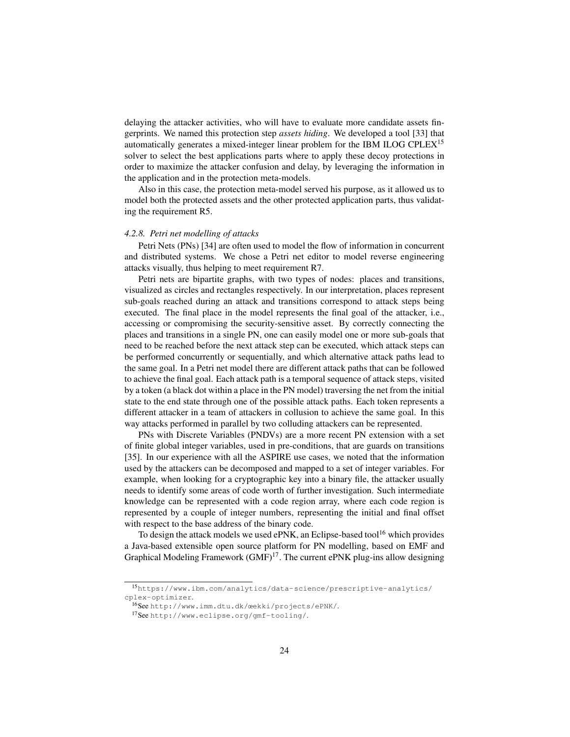delaying the attacker activities, who will have to evaluate more candidate assets fingerprints. We named this protection step *assets hiding*. We developed a tool [33] that automatically generates a mixed-integer linear problem for the IBM ILOG CPLEX<sup>15</sup> solver to select the best applications parts where to apply these decoy protections in order to maximize the attacker confusion and delay, by leveraging the information in the application and in the protection meta-models.

Also in this case, the protection meta-model served his purpose, as it allowed us to model both the protected assets and the other protected application parts, thus validating the requirement R5.

#### *4.2.8. Petri net modelling of attacks*

Petri Nets (PNs) [34] are often used to model the flow of information in concurrent and distributed systems. We chose a Petri net editor to model reverse engineering attacks visually, thus helping to meet requirement R7.

Petri nets are bipartite graphs, with two types of nodes: places and transitions, visualized as circles and rectangles respectively. In our interpretation, places represent sub-goals reached during an attack and transitions correspond to attack steps being executed. The final place in the model represents the final goal of the attacker, i.e., accessing or compromising the security-sensitive asset. By correctly connecting the places and transitions in a single PN, one can easily model one or more sub-goals that need to be reached before the next attack step can be executed, which attack steps can be performed concurrently or sequentially, and which alternative attack paths lead to the same goal. In a Petri net model there are different attack paths that can be followed to achieve the final goal. Each attack path is a temporal sequence of attack steps, visited by a token (a black dot within a place in the PN model) traversing the net from the initial state to the end state through one of the possible attack paths. Each token represents a different attacker in a team of attackers in collusion to achieve the same goal. In this way attacks performed in parallel by two colluding attackers can be represented.

PNs with Discrete Variables (PNDVs) are a more recent PN extension with a set of finite global integer variables, used in pre-conditions, that are guards on transitions [35]. In our experience with all the ASPIRE use cases, we noted that the information used by the attackers can be decomposed and mapped to a set of integer variables. For example, when looking for a cryptographic key into a binary file, the attacker usually needs to identify some areas of code worth of further investigation. Such intermediate knowledge can be represented with a code region array, where each code region is represented by a couple of integer numbers, representing the initial and final offset with respect to the base address of the binary code.

To design the attack models we used ePNK, an Eclipse-based tool<sup>16</sup> which provides a Java-based extensible open source platform for PN modelling, based on EMF and Graphical Modeling Framework  $(GMF)^{17}$ . The current ePNK plug-ins allow designing

<sup>15</sup>https://www.ibm.com/analytics/data-science/prescriptive-analytics/ cplex-optimizer.

<sup>16</sup>See http://www.imm.dtu.dk/œekki/projects/ePNK/.

<sup>17</sup>See http://www.eclipse.org/gmf-tooling/.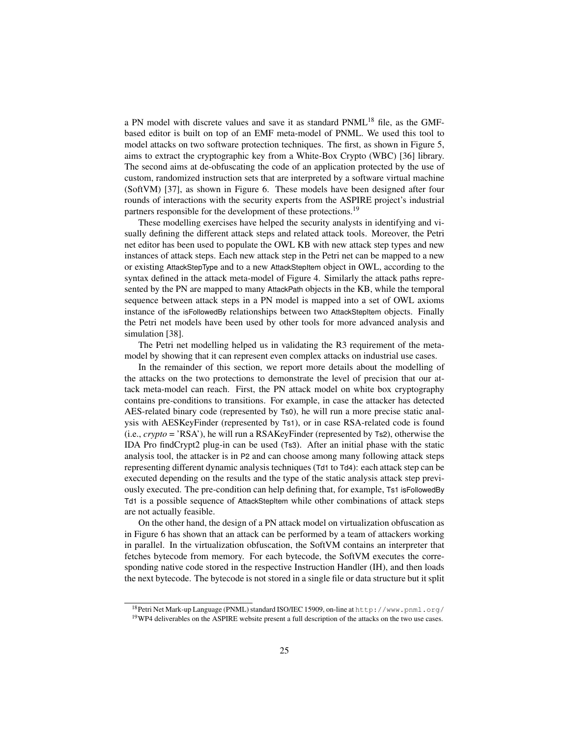a PN model with discrete values and save it as standard PNML<sup>18</sup> file, as the GMFbased editor is built on top of an EMF meta-model of PNML. We used this tool to model attacks on two software protection techniques. The first, as shown in Figure 5, aims to extract the cryptographic key from a White-Box Crypto (WBC) [36] library. The second aims at de-obfuscating the code of an application protected by the use of custom, randomized instruction sets that are interpreted by a software virtual machine (SoftVM) [37], as shown in Figure 6. These models have been designed after four rounds of interactions with the security experts from the ASPIRE project's industrial partners responsible for the development of these protections.<sup>19</sup>

These modelling exercises have helped the security analysts in identifying and visually defining the different attack steps and related attack tools. Moreover, the Petri net editor has been used to populate the OWL KB with new attack step types and new instances of attack steps. Each new attack step in the Petri net can be mapped to a new or existing AttackStepType and to a new AttackStepItem object in OWL, according to the syntax defined in the attack meta-model of Figure 4. Similarly the attack paths represented by the PN are mapped to many AttackPath objects in the KB, while the temporal sequence between attack steps in a PN model is mapped into a set of OWL axioms instance of the isFollowedBy relationships between two AttackStepItem objects. Finally the Petri net models have been used by other tools for more advanced analysis and simulation [38].

The Petri net modelling helped us in validating the R3 requirement of the metamodel by showing that it can represent even complex attacks on industrial use cases.

In the remainder of this section, we report more details about the modelling of the attacks on the two protections to demonstrate the level of precision that our attack meta-model can reach. First, the PN attack model on white box cryptography contains pre-conditions to transitions. For example, in case the attacker has detected AES-related binary code (represented by Ts0), he will run a more precise static analysis with AESKeyFinder (represented by Ts1), or in case RSA-related code is found (i.e., *crypto* = 'RSA'), he will run a RSAKeyFinder (represented by Ts2), otherwise the IDA Pro findCrypt2 plug-in can be used (Ts3). After an initial phase with the static analysis tool, the attacker is in P2 and can choose among many following attack steps representing different dynamic analysis techniques (Td1 to Td4): each attack step can be executed depending on the results and the type of the static analysis attack step previously executed. The pre-condition can help defining that, for example, Ts1 isFollowedBy Td1 is a possible sequence of AttackStepItem while other combinations of attack steps are not actually feasible.

On the other hand, the design of a PN attack model on virtualization obfuscation as in Figure 6 has shown that an attack can be performed by a team of attackers working in parallel. In the virtualization obfuscation, the SoftVM contains an interpreter that fetches bytecode from memory. For each bytecode, the SoftVM executes the corresponding native code stored in the respective Instruction Handler (IH), and then loads the next bytecode. The bytecode is not stored in a single file or data structure but it split

<sup>&</sup>lt;sup>18</sup>Petri Net Mark-up Language (PNML) standard ISO/IEC 15909, on-line at  $http://www.pnml.org/$ <sup>19</sup>WP4 deliverables on the ASPIRE website present a full description of the attacks on the two use cases.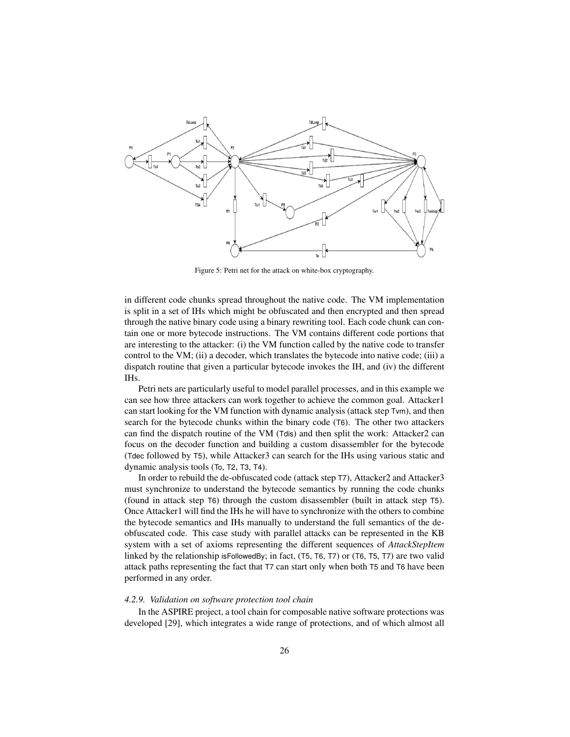

Figure 5: Petri net for the attack on white-box cryptography.

in different code chunks spread throughout the native code. The VM implementation is split in a set of IHs which might be obfuscated and then encrypted and then spread through the native binary code using a binary rewriting tool. Each code chunk can contain one or more bytecode instructions. The VM contains different code portions that are interesting to the attacker: (i) the VM function called by the native code to transfer control to the VM; (ii) a decoder, which translates the bytecode into native code; (iii) a dispatch routine that given a particular bytecode invokes the IH, and (iv) the different IHs.

Petri nets are particularly useful to model parallel processes, and in this example we can see how three attackers can work together to achieve the common goal. Attacker1 can start looking for the VM function with dynamic analysis (attack step Tvm), and then search for the bytecode chunks within the binary code (T6). The other two attackers can find the dispatch routine of the VM (Tdis) and then split the work: Attacker2 can focus on the decoder function and building a custom disassembler for the bytecode (Tdec followed by T5), while Attacker3 can search for the IHs using various static and dynamic analysis tools (To, T2, T3, T4).

In order to rebuild the de-obfuscated code (attack step T7), Attacker2 and Attacker3 must synchronize to understand the bytecode semantics by running the code chunks (found in attack step T6) through the custom disassembler (built in attack step T5). Once Attacker1 will find the IHs he will have to synchronize with the others to combine the bytecode semantics and IHs manually to understand the full semantics of the deobfuscated code. This case study with parallel attacks can be represented in the KB system with a set of axioms representing the different sequences of *AttackStepItem* linked by the relationship isFollowedBy; in fact, (T5, T6, T7) or (T6, T5, T7) are two valid attack paths representing the fact that T7 can start only when both T5 and T6 have been performed in any order.

# *4.2.9. Validation on software protection tool chain*

In the ASPIRE project, a tool chain for composable native software protections was developed [29], which integrates a wide range of protections, and of which almost all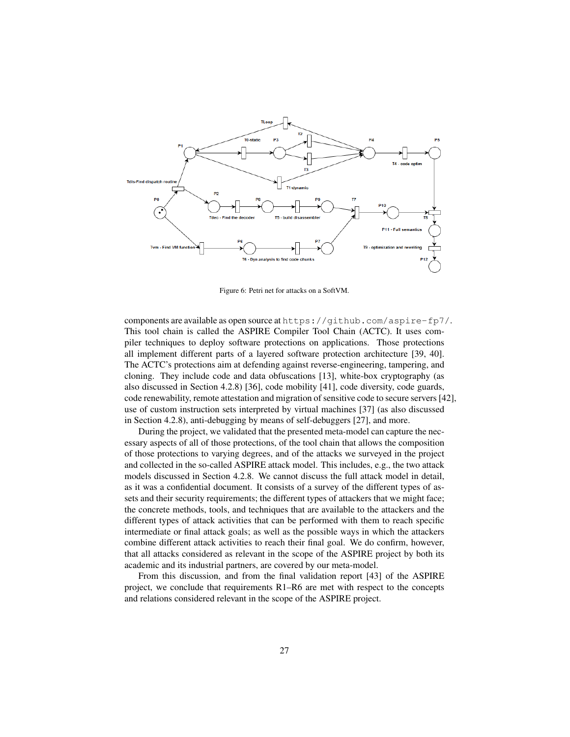

Figure 6: Petri net for attacks on a SoftVM.

components are available as open source at https://github.com/aspire-fp7/. This tool chain is called the ASPIRE Compiler Tool Chain (ACTC). It uses compiler techniques to deploy software protections on applications. Those protections all implement different parts of a layered software protection architecture [39, 40]. The ACTC's protections aim at defending against reverse-engineering, tampering, and cloning. They include code and data obfuscations [13], white-box cryptography (as also discussed in Section 4.2.8) [36], code mobility [41], code diversity, code guards, code renewability, remote attestation and migration of sensitive code to secure servers [42], use of custom instruction sets interpreted by virtual machines [37] (as also discussed in Section 4.2.8), anti-debugging by means of self-debuggers [27], and more.

During the project, we validated that the presented meta-model can capture the necessary aspects of all of those protections, of the tool chain that allows the composition of those protections to varying degrees, and of the attacks we surveyed in the project and collected in the so-called ASPIRE attack model. This includes, e.g., the two attack models discussed in Section 4.2.8. We cannot discuss the full attack model in detail, as it was a confidential document. It consists of a survey of the different types of assets and their security requirements; the different types of attackers that we might face; the concrete methods, tools, and techniques that are available to the attackers and the different types of attack activities that can be performed with them to reach specific intermediate or final attack goals; as well as the possible ways in which the attackers combine different attack activities to reach their final goal. We do confirm, however, that all attacks considered as relevant in the scope of the ASPIRE project by both its academic and its industrial partners, are covered by our meta-model.

From this discussion, and from the final validation report [43] of the ASPIRE project, we conclude that requirements R1–R6 are met with respect to the concepts and relations considered relevant in the scope of the ASPIRE project.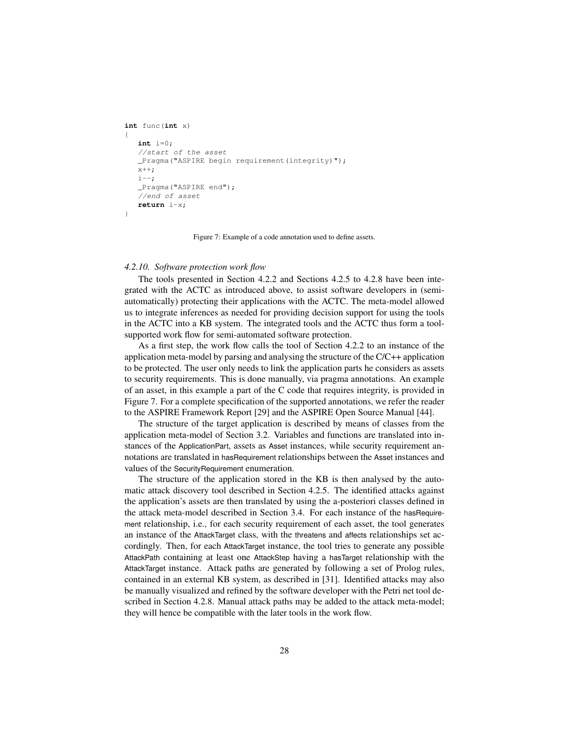```
int func(int x)
{
   int i=0;
   //start of the asset
   _Pragma("ASPIRE begin requirement(integrity)");
   x++:
   i--;
   _Pragma("ASPIRE end");
   //end of asset
   return i-x;
}
```
Figure 7: Example of a code annotation used to define assets.

#### *4.2.10. Software protection work flow*

The tools presented in Section 4.2.2 and Sections 4.2.5 to 4.2.8 have been integrated with the ACTC as introduced above, to assist software developers in (semiautomatically) protecting their applications with the ACTC. The meta-model allowed us to integrate inferences as needed for providing decision support for using the tools in the ACTC into a KB system. The integrated tools and the ACTC thus form a toolsupported work flow for semi-automated software protection.

As a first step, the work flow calls the tool of Section 4.2.2 to an instance of the application meta-model by parsing and analysing the structure of the C/C++ application to be protected. The user only needs to link the application parts he considers as assets to security requirements. This is done manually, via pragma annotations. An example of an asset, in this example a part of the C code that requires integrity, is provided in Figure 7. For a complete specification of the supported annotations, we refer the reader to the ASPIRE Framework Report [29] and the ASPIRE Open Source Manual [44].

The structure of the target application is described by means of classes from the application meta-model of Section 3.2. Variables and functions are translated into instances of the ApplicationPart, assets as Asset instances, while security requirement annotations are translated in hasRequirement relationships between the Asset instances and values of the SecurityRequirement enumeration.

The structure of the application stored in the KB is then analysed by the automatic attack discovery tool described in Section 4.2.5. The identified attacks against the application's assets are then translated by using the a-posteriori classes defined in the attack meta-model described in Section 3.4. For each instance of the hasRequirement relationship, i.e., for each security requirement of each asset, the tool generates an instance of the AttackTarget class, with the threatens and affects relationships set accordingly. Then, for each AttackTarget instance, the tool tries to generate any possible AttackPath containing at least one AttackStep having a hasTarget relationship with the AttackTarget instance. Attack paths are generated by following a set of Prolog rules, contained in an external KB system, as described in [31]. Identified attacks may also be manually visualized and refined by the software developer with the Petri net tool described in Section 4.2.8. Manual attack paths may be added to the attack meta-model; they will hence be compatible with the later tools in the work flow.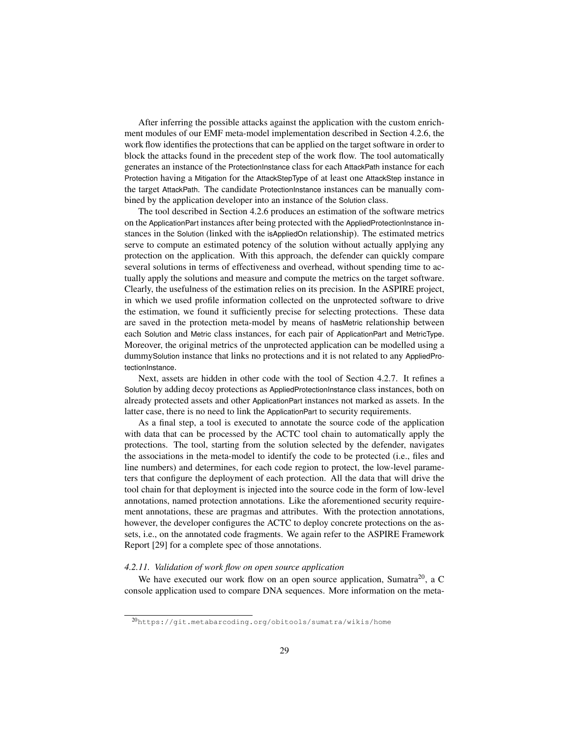After inferring the possible attacks against the application with the custom enrichment modules of our EMF meta-model implementation described in Section 4.2.6, the work flow identifies the protections that can be applied on the target software in order to block the attacks found in the precedent step of the work flow. The tool automatically generates an instance of the ProtectionInstance class for each AttackPath instance for each Protection having a Mitigation for the AttackStepType of at least one AttackStep instance in the target AttackPath. The candidate ProtectionInstance instances can be manually combined by the application developer into an instance of the Solution class.

The tool described in Section 4.2.6 produces an estimation of the software metrics on the ApplicationPart instances after being protected with the AppliedProtectionInstance instances in the Solution (linked with the isAppliedOn relationship). The estimated metrics serve to compute an estimated potency of the solution without actually applying any protection on the application. With this approach, the defender can quickly compare several solutions in terms of effectiveness and overhead, without spending time to actually apply the solutions and measure and compute the metrics on the target software. Clearly, the usefulness of the estimation relies on its precision. In the ASPIRE project, in which we used profile information collected on the unprotected software to drive the estimation, we found it sufficiently precise for selecting protections. These data are saved in the protection meta-model by means of hasMetric relationship between each Solution and Metric class instances, for each pair of ApplicationPart and MetricType. Moreover, the original metrics of the unprotected application can be modelled using a dummySolution instance that links no protections and it is not related to any AppliedProtectionInstance.

Next, assets are hidden in other code with the tool of Section 4.2.7. It refines a Solution by adding decoy protections as AppliedProtectionInstance class instances, both on already protected assets and other ApplicationPart instances not marked as assets. In the latter case, there is no need to link the ApplicationPart to security requirements.

As a final step, a tool is executed to annotate the source code of the application with data that can be processed by the ACTC tool chain to automatically apply the protections. The tool, starting from the solution selected by the defender, navigates the associations in the meta-model to identify the code to be protected (i.e., files and line numbers) and determines, for each code region to protect, the low-level parameters that configure the deployment of each protection. All the data that will drive the tool chain for that deployment is injected into the source code in the form of low-level annotations, named protection annotations. Like the aforementioned security requirement annotations, these are pragmas and attributes. With the protection annotations, however, the developer configures the ACTC to deploy concrete protections on the assets, i.e., on the annotated code fragments. We again refer to the ASPIRE Framework Report [29] for a complete spec of those annotations.

# *4.2.11. Validation of work flow on open source application*

We have executed our work flow on an open source application, Sumatra<sup>20</sup>, a C console application used to compare DNA sequences. More information on the meta-

 $^{20}$ https://git.metabarcoding.org/obitools/sumatra/wikis/home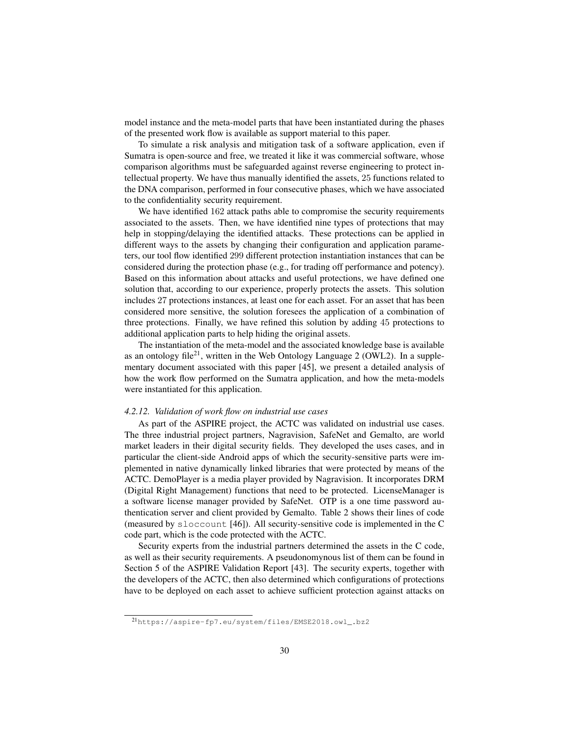model instance and the meta-model parts that have been instantiated during the phases of the presented work flow is available as support material to this paper.

To simulate a risk analysis and mitigation task of a software application, even if Sumatra is open-source and free, we treated it like it was commercial software, whose comparison algorithms must be safeguarded against reverse engineering to protect intellectual property. We have thus manually identified the assets, 25 functions related to the DNA comparison, performed in four consecutive phases, which we have associated to the confidentiality security requirement.

We have identified 162 attack paths able to compromise the security requirements associated to the assets. Then, we have identified nine types of protections that may help in stopping/delaying the identified attacks. These protections can be applied in different ways to the assets by changing their configuration and application parameters, our tool flow identified 299 different protection instantiation instances that can be considered during the protection phase (e.g., for trading off performance and potency). Based on this information about attacks and useful protections, we have defined one solution that, according to our experience, properly protects the assets. This solution includes 27 protections instances, at least one for each asset. For an asset that has been considered more sensitive, the solution foresees the application of a combination of three protections. Finally, we have refined this solution by adding 45 protections to additional application parts to help hiding the original assets.

The instantiation of the meta-model and the associated knowledge base is available as an ontology file<sup>21</sup>, written in the Web Ontology Language 2 (OWL2). In a supplementary document associated with this paper [45], we present a detailed analysis of how the work flow performed on the Sumatra application, and how the meta-models were instantiated for this application.

#### *4.2.12. Validation of work flow on industrial use cases*

As part of the ASPIRE project, the ACTC was validated on industrial use cases. The three industrial project partners, Nagravision, SafeNet and Gemalto, are world market leaders in their digital security fields. They developed the uses cases, and in particular the client-side Android apps of which the security-sensitive parts were implemented in native dynamically linked libraries that were protected by means of the ACTC. DemoPlayer is a media player provided by Nagravision. It incorporates DRM (Digital Right Management) functions that need to be protected. LicenseManager is a software license manager provided by SafeNet. OTP is a one time password authentication server and client provided by Gemalto. Table 2 shows their lines of code (measured by sloccount [46]). All security-sensitive code is implemented in the C code part, which is the code protected with the ACTC.

Security experts from the industrial partners determined the assets in the C code, as well as their security requirements. A pseudonomynous list of them can be found in Section 5 of the ASPIRE Validation Report [43]. The security experts, together with the developers of the ACTC, then also determined which configurations of protections have to be deployed on each asset to achieve sufficient protection against attacks on

<sup>21</sup>https://aspire-fp7.eu/system/files/EMSE2018.owl\_.bz2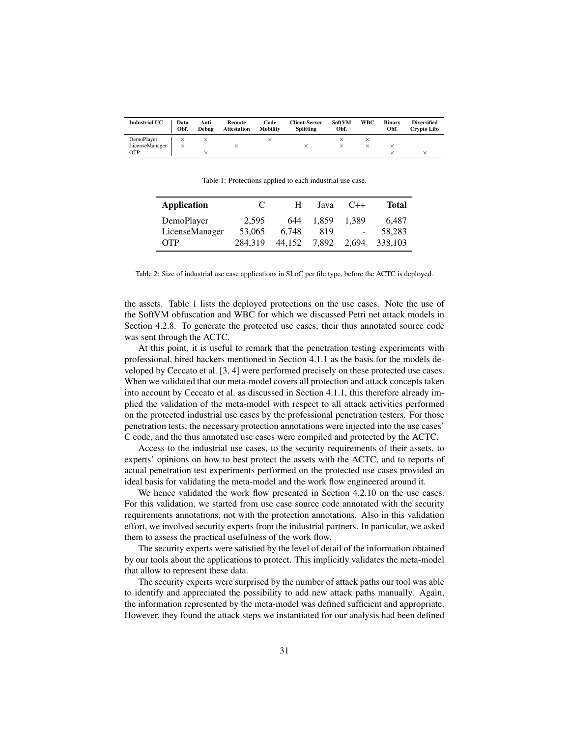| <b>Industrial UC</b> | Data<br>Obf. | Anti<br>Debug | Remote<br><b>Attestation</b> | Code<br><b>Mobility</b> | <b>Client-Server</b><br>Splitting | <b>SoftVM</b><br>Obf. | <b>WBC</b> | <b>Binary</b><br>Obf. | <b>Diversified</b><br><b>Crypto Libs</b> |
|----------------------|--------------|---------------|------------------------------|-------------------------|-----------------------------------|-----------------------|------------|-----------------------|------------------------------------------|
| DemoPlayer           |              |               |                              |                         |                                   |                       |            |                       |                                          |
| LicenseManager       | ×            |               |                              |                         |                                   |                       |            |                       |                                          |
| <b>OTP</b>           |              |               |                              |                         |                                   |                       |            |                       |                                          |

Table 1: Protections applied to each industrial use case.

| <b>Application</b> | C       | н      | Java  | $C++$  | Total   |
|--------------------|---------|--------|-------|--------|---------|
| DemoPlayer         | 2.595   | 644    | 1.859 | 1.389  | 6.487   |
| LicenseManager     | 53,065  | 6.748  | 819   | $\sim$ | 58.283  |
| OTP                | 284.319 | 44.152 | 7.892 | 2.694  | 338.103 |

Table 2: Size of industrial use case applications in SLoC per file type, before the ACTC is deployed.

the assets. Table 1 lists the deployed protections on the use cases. Note the use of the SoftVM obfuscation and WBC for which we discussed Petri net attack models in Section 4.2.8. To generate the protected use cases, their thus annotated source code was sent through the ACTC.

At this point, it is useful to remark that the penetration testing experiments with professional, hired hackers mentioned in Section 4.1.1 as the basis for the models developed by Ceccato et al. [3, 4] were performed precisely on these protected use cases. When we validated that our meta-model covers all protection and attack concepts taken into account by Ceccato et al. as discussed in Section 4.1.1, this therefore already implied the validation of the meta-model with respect to all attack activities performed on the protected industrial use cases by the professional penetration testers. For those penetration tests, the necessary protection annotations were injected into the use cases' C code, and the thus annotated use cases were compiled and protected by the ACTC.

Access to the industrial use cases, to the security requirements of their assets, to experts' opinions on how to best protect the assets with the ACTC, and to reports of actual penetration test experiments performed on the protected use cases provided an ideal basis for validating the meta-model and the work flow engineered around it.

We hence validated the work flow presented in Section 4.2.10 on the use cases. For this validation, we started from use case source code annotated with the security requirements annotations, not with the protection annotations. Also in this validation effort, we involved security experts from the industrial partners. In particular, we asked them to assess the practical usefulness of the work flow.

The security experts were satisfied by the level of detail of the information obtained by our tools about the applications to protect. This implicitly validates the meta-model that allow to represent these data.

The security experts were surprised by the number of attack paths our tool was able to identify and appreciated the possibility to add new attack paths manually. Again, the information represented by the meta-model was defined sufficient and appropriate. However, they found the attack steps we instantiated for our analysis had been defined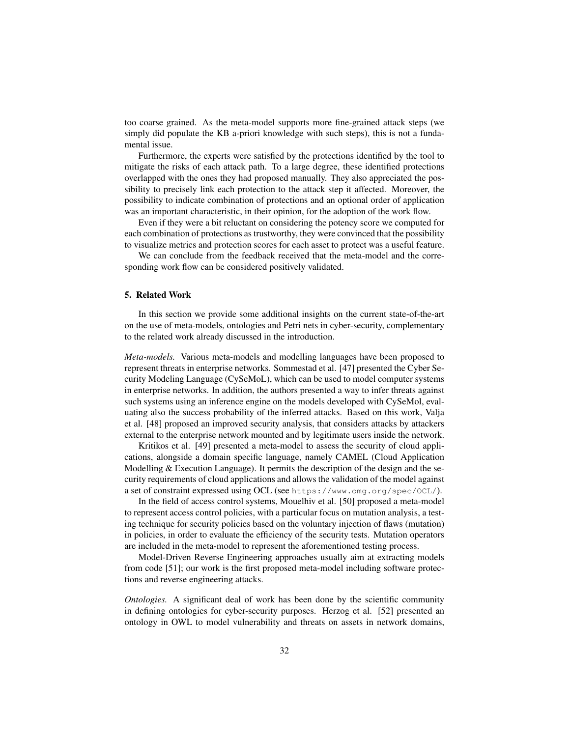too coarse grained. As the meta-model supports more fine-grained attack steps (we simply did populate the KB a-priori knowledge with such steps), this is not a fundamental issue.

Furthermore, the experts were satisfied by the protections identified by the tool to mitigate the risks of each attack path. To a large degree, these identified protections overlapped with the ones they had proposed manually. They also appreciated the possibility to precisely link each protection to the attack step it affected. Moreover, the possibility to indicate combination of protections and an optional order of application was an important characteristic, in their opinion, for the adoption of the work flow.

Even if they were a bit reluctant on considering the potency score we computed for each combination of protections as trustworthy, they were convinced that the possibility to visualize metrics and protection scores for each asset to protect was a useful feature.

We can conclude from the feedback received that the meta-model and the corresponding work flow can be considered positively validated.

## 5. Related Work

In this section we provide some additional insights on the current state-of-the-art on the use of meta-models, ontologies and Petri nets in cyber-security, complementary to the related work already discussed in the introduction.

*Meta-models.* Various meta-models and modelling languages have been proposed to represent threats in enterprise networks. Sommestad et al. [47] presented the Cyber Security Modeling Language (CySeMoL), which can be used to model computer systems in enterprise networks. In addition, the authors presented a way to infer threats against such systems using an inference engine on the models developed with CySeMol, evaluating also the success probability of the inferred attacks. Based on this work, Valja et al. [48] proposed an improved security analysis, that considers attacks by attackers external to the enterprise network mounted and by legitimate users inside the network.

Kritikos et al. [49] presented a meta-model to assess the security of cloud applications, alongside a domain specific language, namely CAMEL (Cloud Application Modelling & Execution Language). It permits the description of the design and the security requirements of cloud applications and allows the validation of the model against a set of constraint expressed using OCL (see https://www.omg.org/spec/OCL/).

In the field of access control systems, Mouelhiv et al. [50] proposed a meta-model to represent access control policies, with a particular focus on mutation analysis, a testing technique for security policies based on the voluntary injection of flaws (mutation) in policies, in order to evaluate the efficiency of the security tests. Mutation operators are included in the meta-model to represent the aforementioned testing process.

Model-Driven Reverse Engineering approaches usually aim at extracting models from code [51]; our work is the first proposed meta-model including software protections and reverse engineering attacks.

*Ontologies.* A significant deal of work has been done by the scientific community in defining ontologies for cyber-security purposes. Herzog et al. [52] presented an ontology in OWL to model vulnerability and threats on assets in network domains,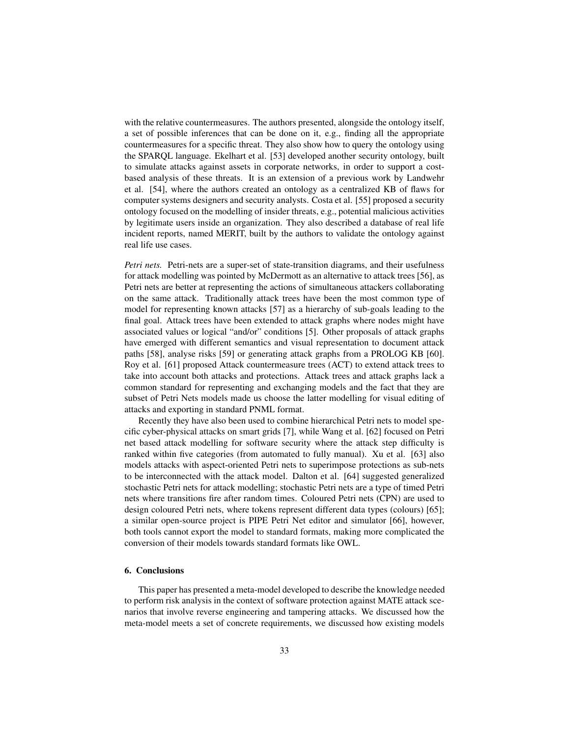with the relative countermeasures. The authors presented, alongside the ontology itself, a set of possible inferences that can be done on it, e.g., finding all the appropriate countermeasures for a specific threat. They also show how to query the ontology using the SPARQL language. Ekelhart et al. [53] developed another security ontology, built to simulate attacks against assets in corporate networks, in order to support a costbased analysis of these threats. It is an extension of a previous work by Landwehr et al. [54], where the authors created an ontology as a centralized KB of flaws for computer systems designers and security analysts. Costa et al. [55] proposed a security ontology focused on the modelling of insider threats, e.g., potential malicious activities by legitimate users inside an organization. They also described a database of real life incident reports, named MERIT, built by the authors to validate the ontology against real life use cases.

*Petri nets.* Petri-nets are a super-set of state-transition diagrams, and their usefulness for attack modelling was pointed by McDermott as an alternative to attack trees [56], as Petri nets are better at representing the actions of simultaneous attackers collaborating on the same attack. Traditionally attack trees have been the most common type of model for representing known attacks [57] as a hierarchy of sub-goals leading to the final goal. Attack trees have been extended to attack graphs where nodes might have associated values or logical "and/or" conditions [5]. Other proposals of attack graphs have emerged with different semantics and visual representation to document attack paths [58], analyse risks [59] or generating attack graphs from a PROLOG KB [60]. Roy et al. [61] proposed Attack countermeasure trees (ACT) to extend attack trees to take into account both attacks and protections. Attack trees and attack graphs lack a common standard for representing and exchanging models and the fact that they are subset of Petri Nets models made us choose the latter modelling for visual editing of attacks and exporting in standard PNML format.

Recently they have also been used to combine hierarchical Petri nets to model specific cyber-physical attacks on smart grids [7], while Wang et al. [62] focused on Petri net based attack modelling for software security where the attack step difficulty is ranked within five categories (from automated to fully manual). Xu et al. [63] also models attacks with aspect-oriented Petri nets to superimpose protections as sub-nets to be interconnected with the attack model. Dalton et al. [64] suggested generalized stochastic Petri nets for attack modelling; stochastic Petri nets are a type of timed Petri nets where transitions fire after random times. Coloured Petri nets (CPN) are used to design coloured Petri nets, where tokens represent different data types (colours) [65]; a similar open-source project is PIPE Petri Net editor and simulator [66], however, both tools cannot export the model to standard formats, making more complicated the conversion of their models towards standard formats like OWL.

# 6. Conclusions

This paper has presented a meta-model developed to describe the knowledge needed to perform risk analysis in the context of software protection against MATE attack scenarios that involve reverse engineering and tampering attacks. We discussed how the meta-model meets a set of concrete requirements, we discussed how existing models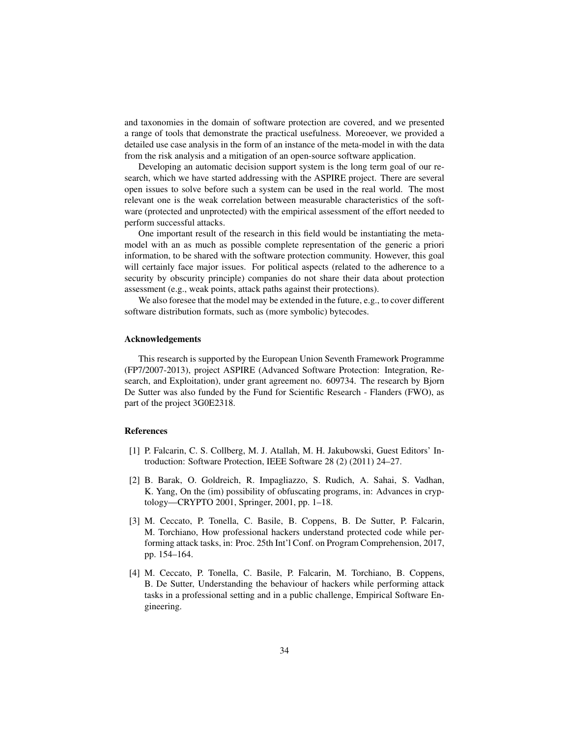and taxonomies in the domain of software protection are covered, and we presented a range of tools that demonstrate the practical usefulness. Moreoever, we provided a detailed use case analysis in the form of an instance of the meta-model in with the data from the risk analysis and a mitigation of an open-source software application.

Developing an automatic decision support system is the long term goal of our research, which we have started addressing with the ASPIRE project. There are several open issues to solve before such a system can be used in the real world. The most relevant one is the weak correlation between measurable characteristics of the software (protected and unprotected) with the empirical assessment of the effort needed to perform successful attacks.

One important result of the research in this field would be instantiating the metamodel with an as much as possible complete representation of the generic a priori information, to be shared with the software protection community. However, this goal will certainly face major issues. For political aspects (related to the adherence to a security by obscurity principle) companies do not share their data about protection assessment (e.g., weak points, attack paths against their protections).

We also foresee that the model may be extended in the future, e.g., to cover different software distribution formats, such as (more symbolic) bytecodes.

## Acknowledgements

This research is supported by the European Union Seventh Framework Programme (FP7/2007-2013), project ASPIRE (Advanced Software Protection: Integration, Research, and Exploitation), under grant agreement no. 609734. The research by Bjorn De Sutter was also funded by the Fund for Scientific Research - Flanders (FWO), as part of the project 3G0E2318.

# References

- [1] P. Falcarin, C. S. Collberg, M. J. Atallah, M. H. Jakubowski, Guest Editors' Introduction: Software Protection, IEEE Software 28 (2) (2011) 24–27.
- [2] B. Barak, O. Goldreich, R. Impagliazzo, S. Rudich, A. Sahai, S. Vadhan, K. Yang, On the (im) possibility of obfuscating programs, in: Advances in cryptology—CRYPTO 2001, Springer, 2001, pp. 1–18.
- [3] M. Ceccato, P. Tonella, C. Basile, B. Coppens, B. De Sutter, P. Falcarin, M. Torchiano, How professional hackers understand protected code while performing attack tasks, in: Proc. 25th Int'l Conf. on Program Comprehension, 2017, pp. 154–164.
- [4] M. Ceccato, P. Tonella, C. Basile, P. Falcarin, M. Torchiano, B. Coppens, B. De Sutter, Understanding the behaviour of hackers while performing attack tasks in a professional setting and in a public challenge, Empirical Software Engineering.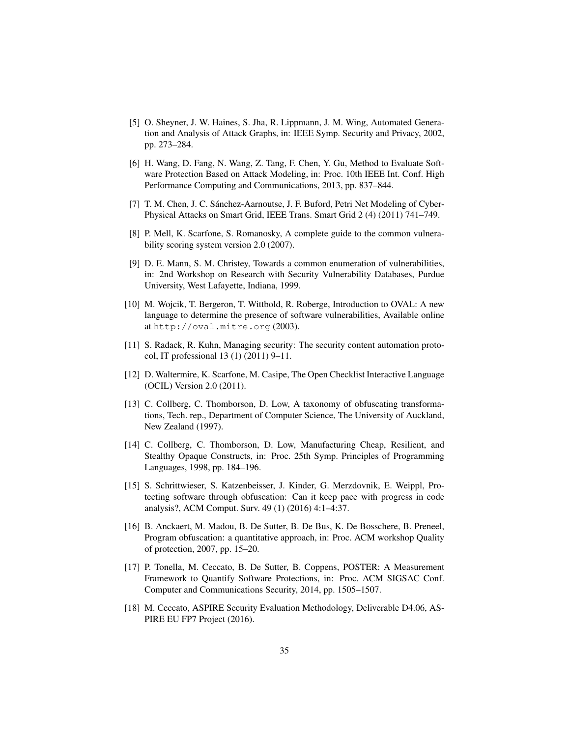- [5] O. Sheyner, J. W. Haines, S. Jha, R. Lippmann, J. M. Wing, Automated Generation and Analysis of Attack Graphs, in: IEEE Symp. Security and Privacy, 2002, pp. 273–284.
- [6] H. Wang, D. Fang, N. Wang, Z. Tang, F. Chen, Y. Gu, Method to Evaluate Software Protection Based on Attack Modeling, in: Proc. 10th IEEE Int. Conf. High Performance Computing and Communications, 2013, pp. 837–844.
- [7] T. M. Chen, J. C. Sánchez-Aarnoutse, J. F. Buford, Petri Net Modeling of Cyber-Physical Attacks on Smart Grid, IEEE Trans. Smart Grid 2 (4) (2011) 741–749.
- [8] P. Mell, K. Scarfone, S. Romanosky, A complete guide to the common vulnerability scoring system version 2.0 (2007).
- [9] D. E. Mann, S. M. Christey, Towards a common enumeration of vulnerabilities, in: 2nd Workshop on Research with Security Vulnerability Databases, Purdue University, West Lafayette, Indiana, 1999.
- [10] M. Wojcik, T. Bergeron, T. Wittbold, R. Roberge, Introduction to OVAL: A new language to determine the presence of software vulnerabilities, Available online at http://oval.mitre.org (2003).
- [11] S. Radack, R. Kuhn, Managing security: The security content automation protocol, IT professional 13 (1) (2011) 9–11.
- [12] D. Waltermire, K. Scarfone, M. Casipe, The Open Checklist Interactive Language (OCIL) Version 2.0 (2011).
- [13] C. Collberg, C. Thomborson, D. Low, A taxonomy of obfuscating transformations, Tech. rep., Department of Computer Science, The University of Auckland, New Zealand (1997).
- [14] C. Collberg, C. Thomborson, D. Low, Manufacturing Cheap, Resilient, and Stealthy Opaque Constructs, in: Proc. 25th Symp. Principles of Programming Languages, 1998, pp. 184–196.
- [15] S. Schrittwieser, S. Katzenbeisser, J. Kinder, G. Merzdovnik, E. Weippl, Protecting software through obfuscation: Can it keep pace with progress in code analysis?, ACM Comput. Surv. 49 (1) (2016) 4:1–4:37.
- [16] B. Anckaert, M. Madou, B. De Sutter, B. De Bus, K. De Bosschere, B. Preneel, Program obfuscation: a quantitative approach, in: Proc. ACM workshop Quality of protection, 2007, pp. 15–20.
- [17] P. Tonella, M. Ceccato, B. De Sutter, B. Coppens, POSTER: A Measurement Framework to Quantify Software Protections, in: Proc. ACM SIGSAC Conf. Computer and Communications Security, 2014, pp. 1505–1507.
- [18] M. Ceccato, ASPIRE Security Evaluation Methodology, Deliverable D4.06, AS-PIRE EU FP7 Project (2016).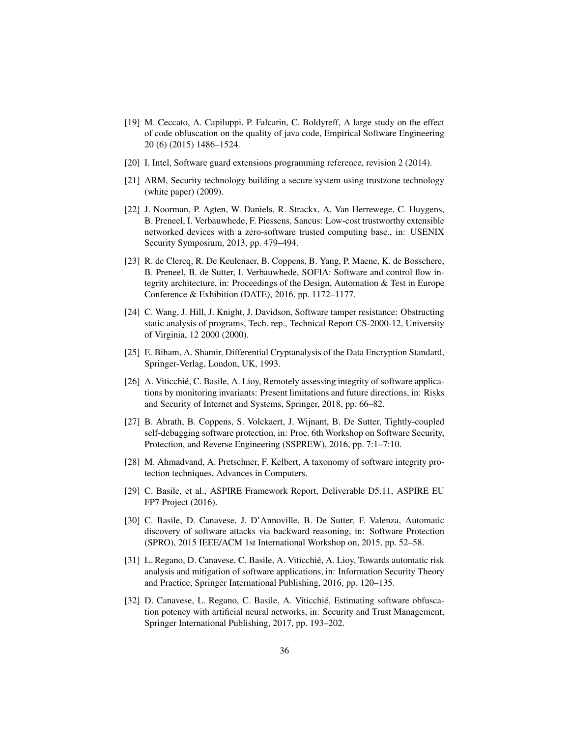- [19] M. Ceccato, A. Capiluppi, P. Falcarin, C. Boldyreff, A large study on the effect of code obfuscation on the quality of java code, Empirical Software Engineering 20 (6) (2015) 1486–1524.
- [20] I. Intel, Software guard extensions programming reference, revision 2 (2014).
- [21] ARM, Security technology building a secure system using trustzone technology (white paper) (2009).
- [22] J. Noorman, P. Agten, W. Daniels, R. Strackx, A. Van Herrewege, C. Huygens, B. Preneel, I. Verbauwhede, F. Piessens, Sancus: Low-cost trustworthy extensible networked devices with a zero-software trusted computing base., in: USENIX Security Symposium, 2013, pp. 479–494.
- [23] R. de Clercq, R. De Keulenaer, B. Coppens, B. Yang, P. Maene, K. de Bosschere, B. Preneel, B. de Sutter, I. Verbauwhede, SOFIA: Software and control flow integrity architecture, in: Proceedings of the Design, Automation & Test in Europe Conference & Exhibition (DATE), 2016, pp. 1172–1177.
- [24] C. Wang, J. Hill, J. Knight, J. Davidson, Software tamper resistance: Obstructing static analysis of programs, Tech. rep., Technical Report CS-2000-12, University of Virginia, 12 2000 (2000).
- [25] E. Biham, A. Shamir, Differential Cryptanalysis of the Data Encryption Standard, Springer-Verlag, London, UK, 1993.
- [26] A. Viticchié, C. Basile, A. Lioy, Remotely assessing integrity of software applications by monitoring invariants: Present limitations and future directions, in: Risks and Security of Internet and Systems, Springer, 2018, pp. 66–82.
- [27] B. Abrath, B. Coppens, S. Volckaert, J. Wijnant, B. De Sutter, Tightly-coupled self-debugging software protection, in: Proc. 6th Workshop on Software Security, Protection, and Reverse Engineering (SSPREW), 2016, pp. 7:1–7:10.
- [28] M. Ahmadvand, A. Pretschner, F. Kelbert, A taxonomy of software integrity protection techniques, Advances in Computers.
- [29] C. Basile, et al., ASPIRE Framework Report, Deliverable D5.11, ASPIRE EU FP7 Project (2016).
- [30] C. Basile, D. Canavese, J. D'Annoville, B. De Sutter, F. Valenza, Automatic discovery of software attacks via backward reasoning, in: Software Protection (SPRO), 2015 IEEE/ACM 1st International Workshop on, 2015, pp. 52–58.
- [31] L. Regano, D. Canavese, C. Basile, A. Viticchie, A. Lioy, Towards automatic risk ´ analysis and mitigation of software applications, in: Information Security Theory and Practice, Springer International Publishing, 2016, pp. 120–135.
- [32] D. Canavese, L. Regano, C. Basile, A. Viticchie, Estimating software obfusca- ´ tion potency with artificial neural networks, in: Security and Trust Management, Springer International Publishing, 2017, pp. 193–202.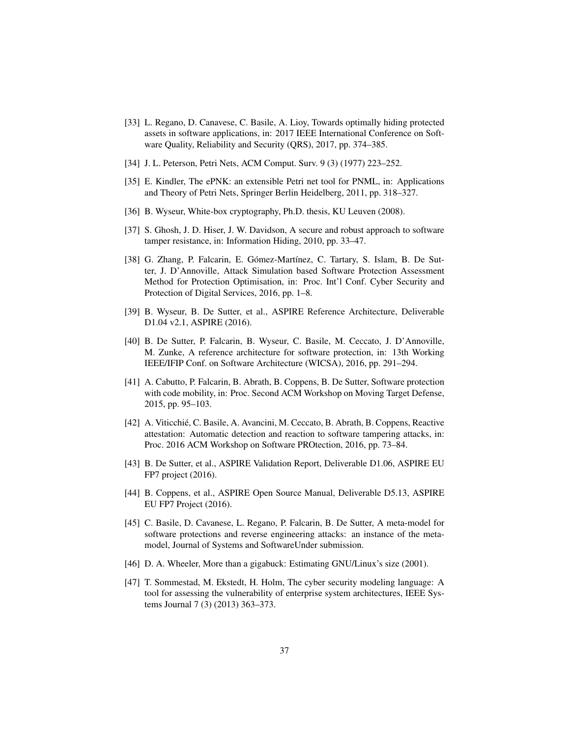- [33] L. Regano, D. Canavese, C. Basile, A. Lioy, Towards optimally hiding protected assets in software applications, in: 2017 IEEE International Conference on Software Quality, Reliability and Security (QRS), 2017, pp. 374–385.
- [34] J. L. Peterson, Petri Nets, ACM Comput. Surv. 9 (3) (1977) 223–252.
- [35] E. Kindler, The ePNK: an extensible Petri net tool for PNML, in: Applications and Theory of Petri Nets, Springer Berlin Heidelberg, 2011, pp. 318–327.
- [36] B. Wyseur, White-box cryptography, Ph.D. thesis, KU Leuven (2008).
- [37] S. Ghosh, J. D. Hiser, J. W. Davidson, A secure and robust approach to software tamper resistance, in: Information Hiding, 2010, pp. 33–47.
- [38] G. Zhang, P. Falcarin, E. Gómez-Martínez, C. Tartary, S. Islam, B. De Sutter, J. D'Annoville, Attack Simulation based Software Protection Assessment Method for Protection Optimisation, in: Proc. Int'l Conf. Cyber Security and Protection of Digital Services, 2016, pp. 1–8.
- [39] B. Wyseur, B. De Sutter, et al., ASPIRE Reference Architecture, Deliverable D1.04 v2.1, ASPIRE (2016).
- [40] B. De Sutter, P. Falcarin, B. Wyseur, C. Basile, M. Ceccato, J. D'Annoville, M. Zunke, A reference architecture for software protection, in: 13th Working IEEE/IFIP Conf. on Software Architecture (WICSA), 2016, pp. 291–294.
- [41] A. Cabutto, P. Falcarin, B. Abrath, B. Coppens, B. De Sutter, Software protection with code mobility, in: Proc. Second ACM Workshop on Moving Target Defense, 2015, pp. 95–103.
- [42] A. Viticchie, C. Basile, A. Avancini, M. Ceccato, B. Abrath, B. Coppens, Reactive ´ attestation: Automatic detection and reaction to software tampering attacks, in: Proc. 2016 ACM Workshop on Software PROtection, 2016, pp. 73–84.
- [43] B. De Sutter, et al., ASPIRE Validation Report, Deliverable D1.06, ASPIRE EU FP7 project (2016).
- [44] B. Coppens, et al., ASPIRE Open Source Manual, Deliverable D5.13, ASPIRE EU FP7 Project (2016).
- [45] C. Basile, D. Cavanese, L. Regano, P. Falcarin, B. De Sutter, A meta-model for software protections and reverse engineering attacks: an instance of the metamodel, Journal of Systems and SoftwareUnder submission.
- [46] D. A. Wheeler, More than a gigabuck: Estimating GNU/Linux's size (2001).
- [47] T. Sommestad, M. Ekstedt, H. Holm, The cyber security modeling language: A tool for assessing the vulnerability of enterprise system architectures, IEEE Systems Journal 7 (3) (2013) 363–373.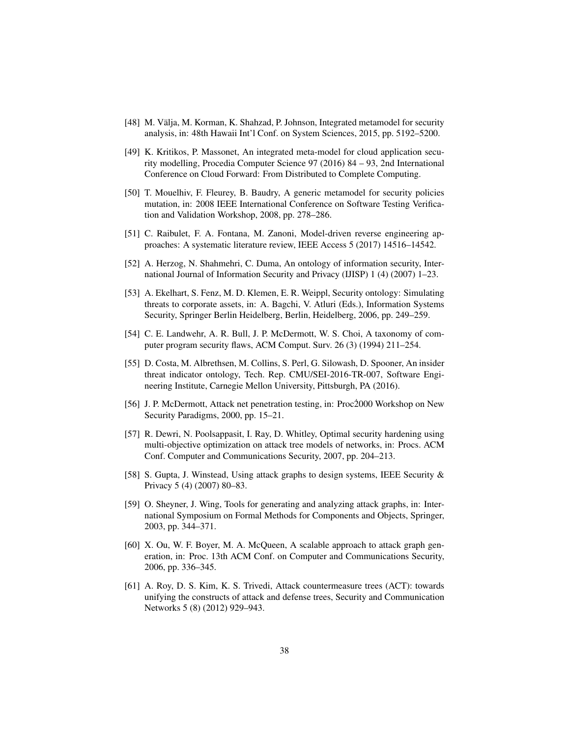- [48] M. Välja, M. Korman, K. Shahzad, P. Johnson, Integrated metamodel for security analysis, in: 48th Hawaii Int'l Conf. on System Sciences, 2015, pp. 5192–5200.
- [49] K. Kritikos, P. Massonet, An integrated meta-model for cloud application security modelling, Procedia Computer Science 97 (2016) 84 – 93, 2nd International Conference on Cloud Forward: From Distributed to Complete Computing.
- [50] T. Mouelhiv, F. Fleurey, B. Baudry, A generic metamodel for security policies mutation, in: 2008 IEEE International Conference on Software Testing Verification and Validation Workshop, 2008, pp. 278–286.
- [51] C. Raibulet, F. A. Fontana, M. Zanoni, Model-driven reverse engineering approaches: A systematic literature review, IEEE Access 5 (2017) 14516–14542.
- [52] A. Herzog, N. Shahmehri, C. Duma, An ontology of information security, International Journal of Information Security and Privacy (IJISP) 1 (4) (2007) 1–23.
- [53] A. Ekelhart, S. Fenz, M. D. Klemen, E. R. Weippl, Security ontology: Simulating threats to corporate assets, in: A. Bagchi, V. Atluri (Eds.), Information Systems Security, Springer Berlin Heidelberg, Berlin, Heidelberg, 2006, pp. 249–259.
- [54] C. E. Landwehr, A. R. Bull, J. P. McDermott, W. S. Choi, A taxonomy of computer program security flaws, ACM Comput. Surv. 26 (3) (1994) 211–254.
- [55] D. Costa, M. Albrethsen, M. Collins, S. Perl, G. Silowash, D. Spooner, An insider threat indicator ontology, Tech. Rep. CMU/SEI-2016-TR-007, Software Engineering Institute, Carnegie Mellon University, Pittsburgh, PA (2016).
- [56] J. P. McDermott, Attack net penetration testing, in: Proc2000 Workshop on New Security Paradigms, 2000, pp. 15–21.
- [57] R. Dewri, N. Poolsappasit, I. Ray, D. Whitley, Optimal security hardening using multi-objective optimization on attack tree models of networks, in: Procs. ACM Conf. Computer and Communications Security, 2007, pp. 204–213.
- [58] S. Gupta, J. Winstead, Using attack graphs to design systems, IEEE Security & Privacy 5 (4) (2007) 80–83.
- [59] O. Sheyner, J. Wing, Tools for generating and analyzing attack graphs, in: International Symposium on Formal Methods for Components and Objects, Springer, 2003, pp. 344–371.
- [60] X. Ou, W. F. Boyer, M. A. McQueen, A scalable approach to attack graph generation, in: Proc. 13th ACM Conf. on Computer and Communications Security, 2006, pp. 336–345.
- [61] A. Roy, D. S. Kim, K. S. Trivedi, Attack countermeasure trees (ACT): towards unifying the constructs of attack and defense trees, Security and Communication Networks 5 (8) (2012) 929–943.